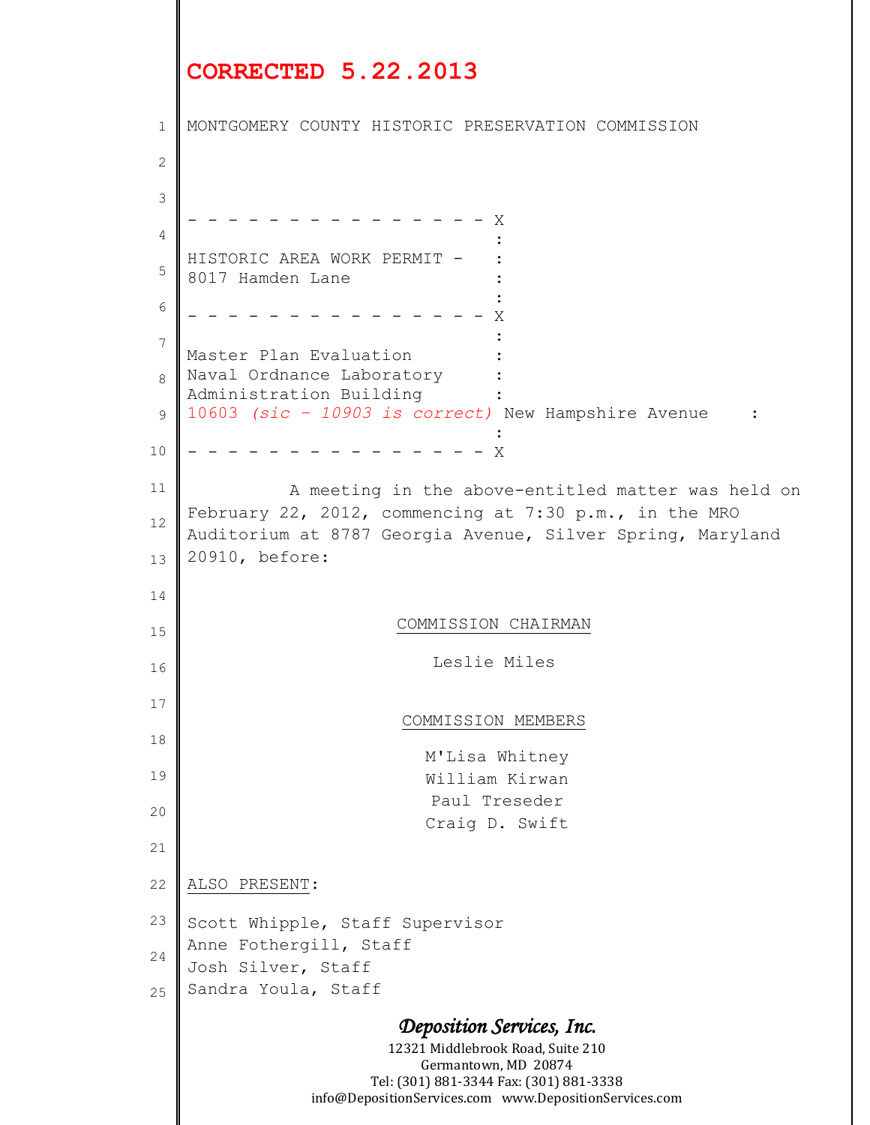## **CORRECTED 5.22.2013**

```
Deposition Services, Inc.
                           12321 Middlebrook Road, Suite 210
                              Germantown, MD 20874
                         Tel: (301) 881-3344 Fax: (301) 881-3338
                  info@DepositionServices.com www.DepositionServices.com
1
2
 3
 4
5
 6
7
 8
 9
10
11
12
13
14
15
16
17
18
19
20
21
22
23
24
25
    MONTGOMERY COUNTY HISTORIC PRESERVATION COMMISSION
                         - - - - - - - x:
    HISTORIC AREA WORK PERMIT -
    8017 Hamden Lane :
    Example 2008 Contract Contract Contract 2008
          - - - - - - - - - - - - - - - X
    Example 2008 Contract Contract Contract 2008
    Master Plan Evaluation
    Naval Ordnance Laboratory
    Administration Building :
    10603 (sic – 10903 is correct) New Hampshire Avenue :
    Example 2008 Contract Contract Contract 2008
      - - - - - - - - - - - - - - - X
               A meeting in the above-entitled matter was held on 
    February 22, 2012, commencing at 7:30 p.m., in the MRO 
    Auditorium at 8787 Georgia Avenue, Silver Spring, Maryland 
    20910, before:
                            COMMISSION CHAIRMAN
                                Leslie Miles
                            COMMISSION MEMBERS
                               M'Lisa Whitney
                               William Kirwan
                               Paul Treseder
                               Craig D. Swift
    ALSO PRESENT:
    Scott Whipple, Staff Supervisor
    Anne Fothergill, Staff
    Josh Silver, Staff
    Sandra Youla, Staff
```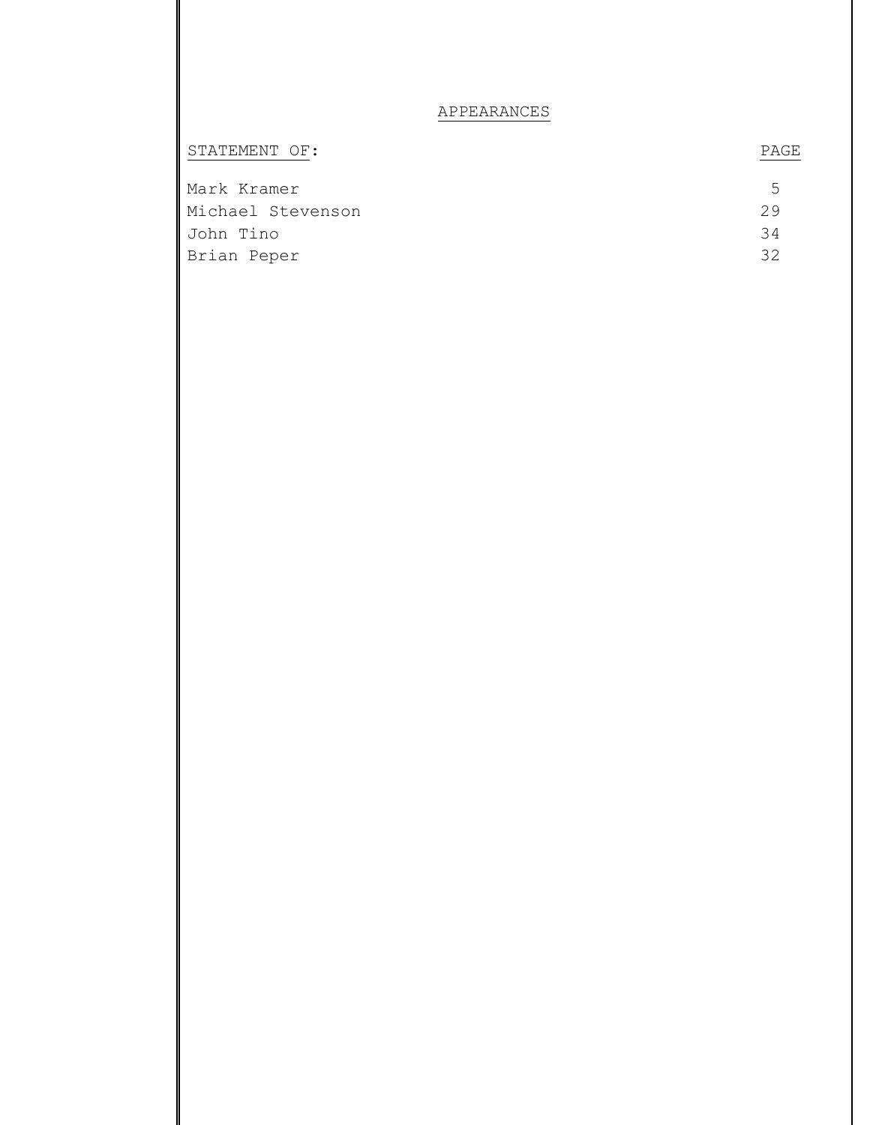## APPEARANCES

| STATEMENT OF:     | PAGE |
|-------------------|------|
| Mark Kramer       | 5.   |
| Michael Stevenson | 29   |
| John Tino         | 34   |
| Brian Peper       | マク   |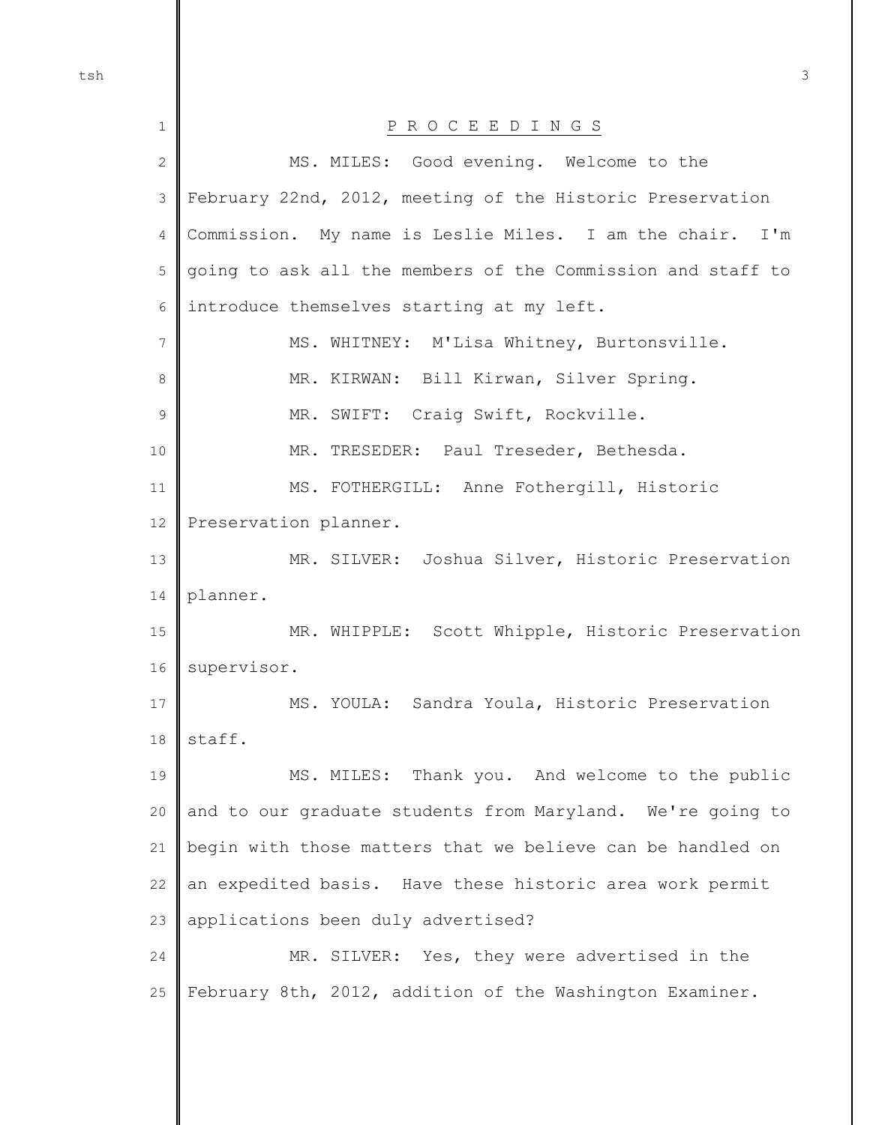| $\mathbf 1$      | P R O C E E D I N G S                                       |
|------------------|-------------------------------------------------------------|
| $\sqrt{2}$       | MS. MILES: Good evening. Welcome to the                     |
| $\mathcal{S}$    | February 22nd, 2012, meeting of the Historic Preservation   |
| 4                | Commission. My name is Leslie Miles. I am the chair. I'm    |
| 5                | going to ask all the members of the Commission and staff to |
| 6                | introduce themselves starting at my left.                   |
| $\boldsymbol{7}$ | MS. WHITNEY: M'Lisa Whitney, Burtonsville.                  |
| $\,8\,$          | MR. KIRWAN: Bill Kirwan, Silver Spring.                     |
| $\mathsf 9$      | MR. SWIFT: Craig Swift, Rockville.                          |
| 10               | MR. TRESEDER: Paul Treseder, Bethesda.                      |
| 11               | MS. FOTHERGILL: Anne Fothergill, Historic                   |
| 12               | Preservation planner.                                       |
| 13               | MR. SILVER: Joshua Silver, Historic Preservation            |
| 14               | planner.                                                    |
| 15               | MR. WHIPPLE: Scott Whipple, Historic Preservation           |
| 16               | supervisor.                                                 |
| 17               | MS. YOULA: Sandra Youla, Historic Preservation              |
| $18\,$           | staff.                                                      |
| 19               | MS. MILES: Thank you. And welcome to the public             |
| 20               | and to our graduate students from Maryland. We're going to  |
| 21               | begin with those matters that we believe can be handled on  |
| 22               | an expedited basis. Have these historic area work permit    |
| 23               | applications been duly advertised?                          |
| 24               | MR. SILVER: Yes, they were advertised in the                |
| 25               | February 8th, 2012, addition of the Washington Examiner.    |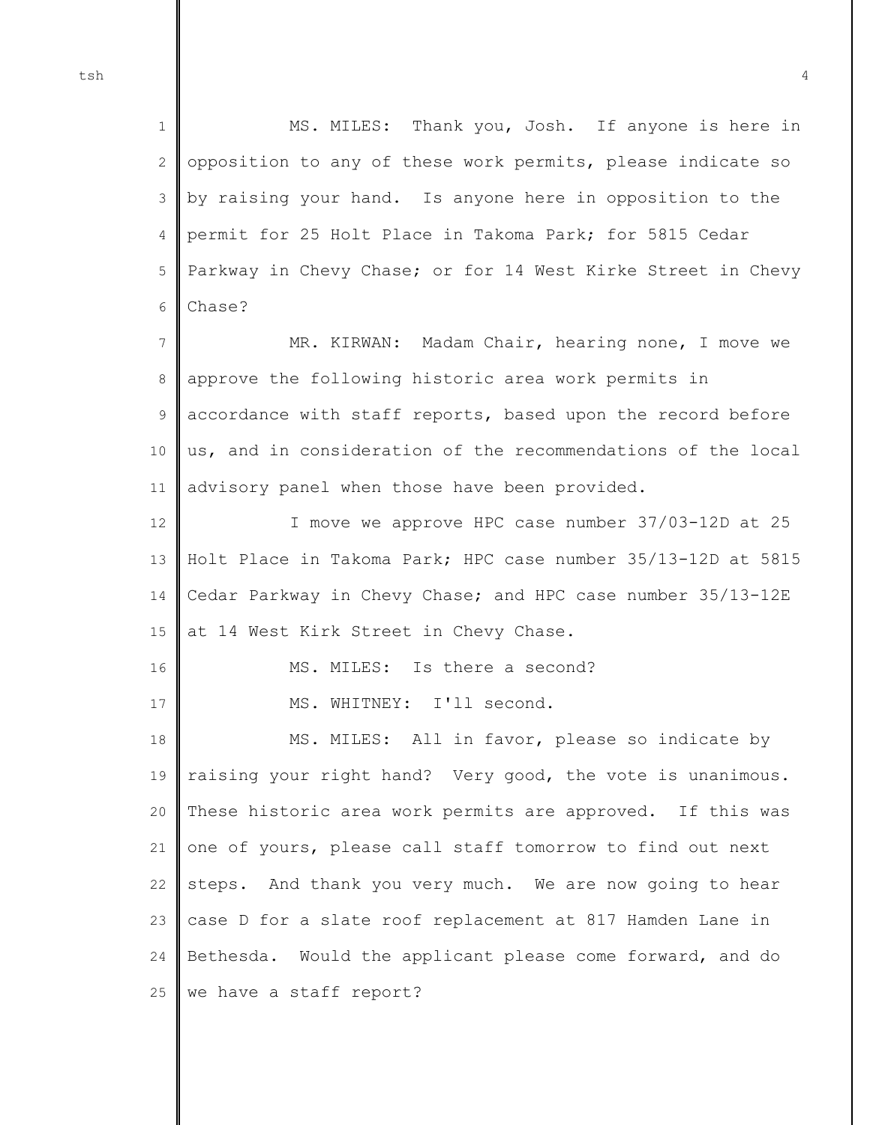1 2 3 4 5 6 MS. MILES: Thank you, Josh. If anyone is here in opposition to any of these work permits, please indicate so by raising your hand. Is anyone here in opposition to the permit for 25 Holt Place in Takoma Park; for 5815 Cedar Parkway in Chevy Chase; or for 14 West Kirke Street in Chevy Chase?

7 8 9 10 11 MR. KIRWAN: Madam Chair, hearing none, I move we approve the following historic area work permits in accordance with staff reports, based upon the record before us, and in consideration of the recommendations of the local advisory panel when those have been provided.

12 13 14 15 I move we approve HPC case number 37/03-12D at 25 Holt Place in Takoma Park; HPC case number 35/13-12D at 5815 Cedar Parkway in Chevy Chase; and HPC case number 35/13-12E at 14 West Kirk Street in Chevy Chase.

16

17

MS. MILES: Is there a second?

MS. WHITNEY: I'll second.

18 19 20 21 22 23 24 25 MS. MILES: All in favor, please so indicate by raising your right hand? Very good, the vote is unanimous. These historic area work permits are approved. If this was one of yours, please call staff tomorrow to find out next steps. And thank you very much. We are now going to hear case D for a slate roof replacement at 817 Hamden Lane in Bethesda. Would the applicant please come forward, and do we have a staff report?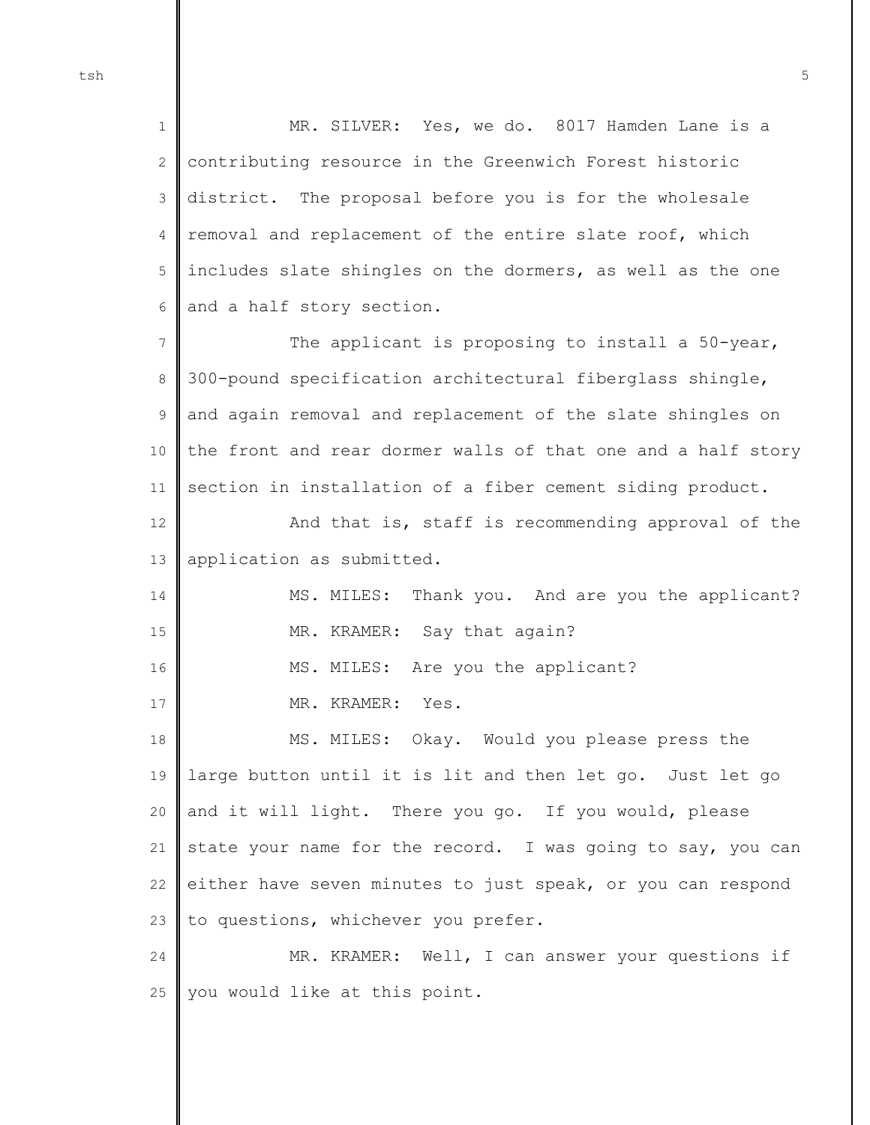1 2 3 4 5 6 MR. SILVER: Yes, we do. 8017 Hamden Lane is a contributing resource in the Greenwich Forest historic district. The proposal before you is for the wholesale removal and replacement of the entire slate roof, which includes slate shingles on the dormers, as well as the one and a half story section.

7 8 9 10 11 The applicant is proposing to install a 50-year, 300-pound specification architectural fiberglass shingle, and again removal and replacement of the slate shingles on the front and rear dormer walls of that one and a half story section in installation of a fiber cement siding product.

12 13 And that is, staff is recommending approval of the application as submitted.

14 15 MS. MILES: Thank you. And are you the applicant? MR. KRAMER: Say that again?

16 MS. MILES: Are you the applicant?

MR. KRAMER: Yes.

17

18 19 20 21 22 23 MS. MILES: Okay. Would you please press the large button until it is lit and then let go. Just let go and it will light. There you go. If you would, please state your name for the record. I was going to say, you can either have seven minutes to just speak, or you can respond to questions, whichever you prefer.

24 25 MR. KRAMER: Well, I can answer your questions if you would like at this point.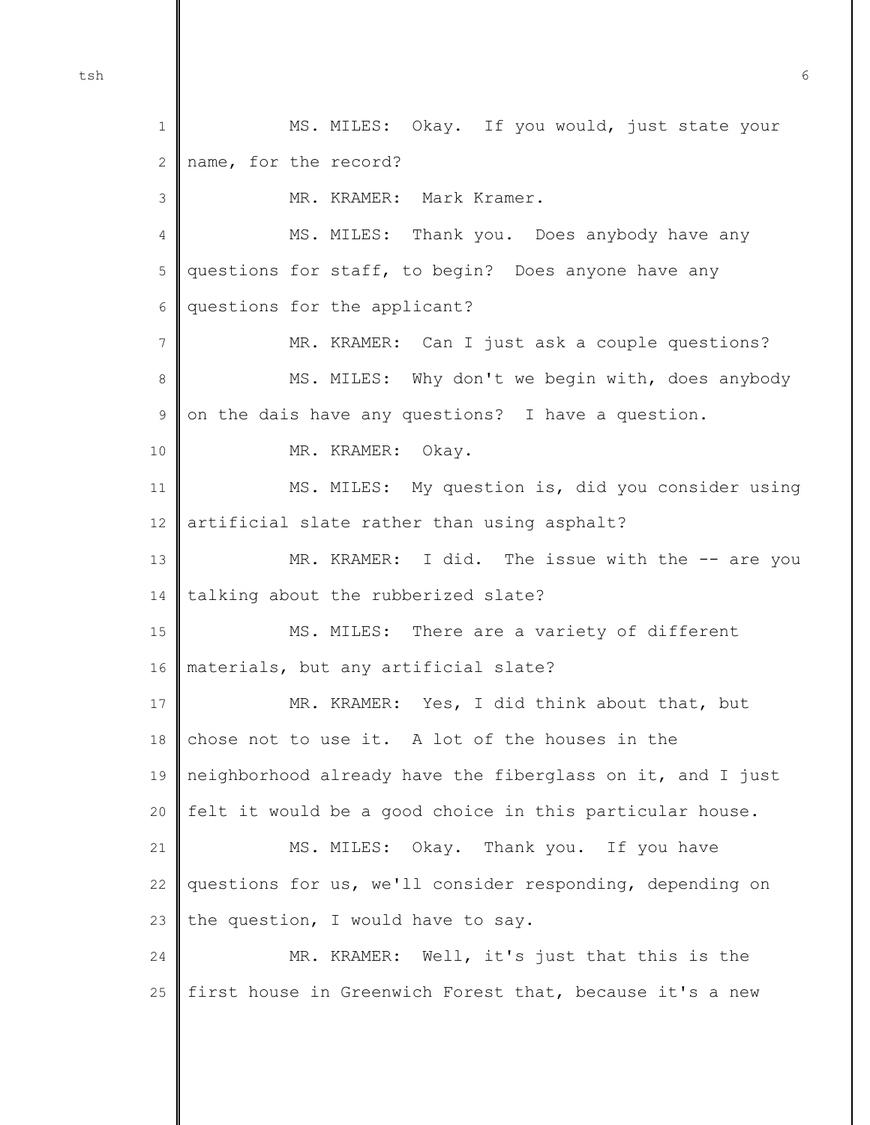1 2 3 4 5 6 7 8 9 10 11 12 13 14 15 16 17 18 19 20 21 22 23 24 25 MS. MILES: Okay. If you would, just state your name, for the record? MR. KRAMER: Mark Kramer. MS. MILES: Thank you. Does anybody have any questions for staff, to begin? Does anyone have any questions for the applicant? MR. KRAMER: Can I just ask a couple questions? MS. MILES: Why don't we begin with, does anybody on the dais have any questions? I have a question. MR. KRAMER: Okay. MS. MILES: My question is, did you consider using artificial slate rather than using asphalt? MR. KRAMER: I did. The issue with the -- are you talking about the rubberized slate? MS. MILES: There are a variety of different materials, but any artificial slate? MR. KRAMER: Yes, I did think about that, but chose not to use it. A lot of the houses in the neighborhood already have the fiberglass on it, and I just felt it would be a good choice in this particular house. MS. MILES: Okay. Thank you. If you have questions for us, we'll consider responding, depending on the question, I would have to say. MR. KRAMER: Well, it's just that this is the first house in Greenwich Forest that, because it's a new

tsh 6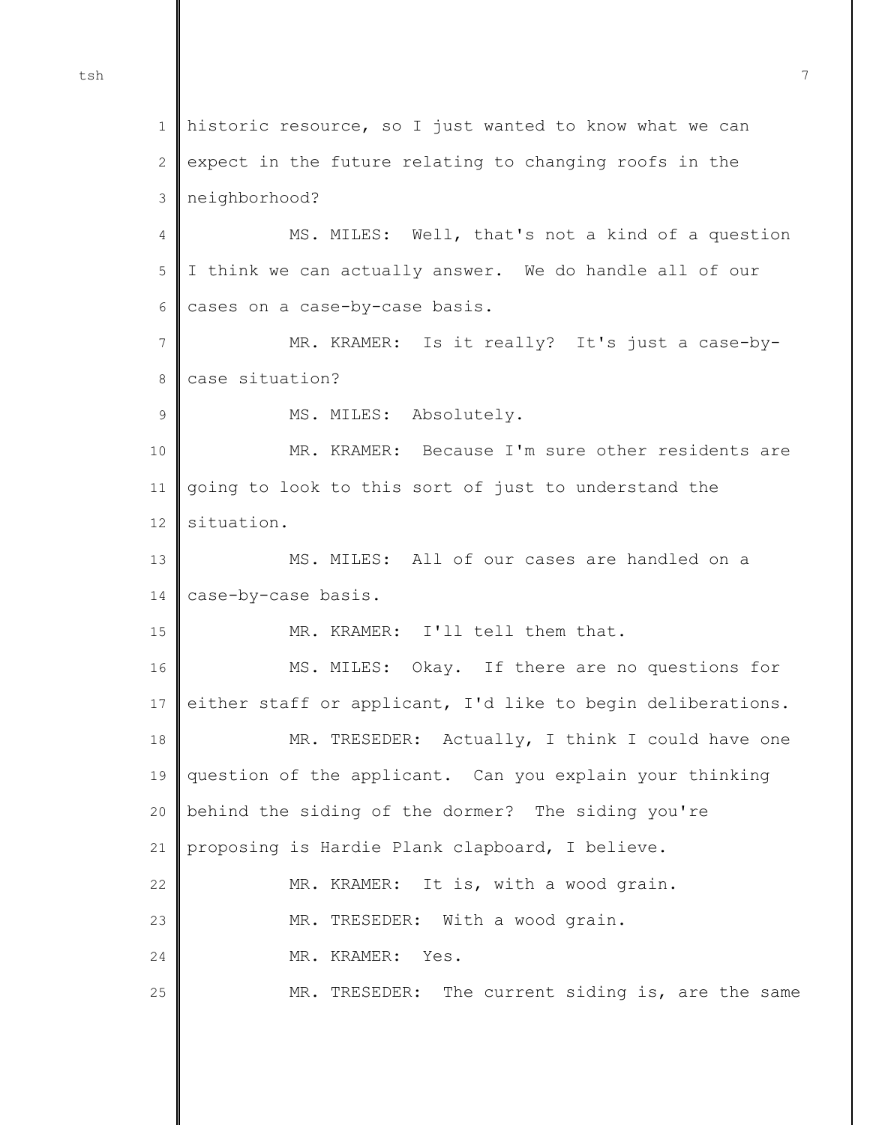1 2 3 4 5 6 7 8 9 10 11 12 13 14 15 16 17 18 19 20 21 22 23 24 25 historic resource, so I just wanted to know what we can expect in the future relating to changing roofs in the neighborhood? MS. MILES: Well, that's not a kind of a question I think we can actually answer. We do handle all of our cases on a case-by-case basis. MR. KRAMER: Is it really? It's just a case-bycase situation? MS. MILES: Absolutely. MR. KRAMER: Because I'm sure other residents are going to look to this sort of just to understand the situation. MS. MILES: All of our cases are handled on a case-by-case basis. MR. KRAMER: I'll tell them that. MS. MILES: Okay. If there are no questions for either staff or applicant, I'd like to begin deliberations. MR. TRESEDER: Actually, I think I could have one question of the applicant. Can you explain your thinking behind the siding of the dormer? The siding you're proposing is Hardie Plank clapboard, I believe. MR. KRAMER: It is, with a wood grain. MR. TRESEDER: With a wood grain. MR. KRAMER: Yes. MR. TRESEDER: The current siding is, are the same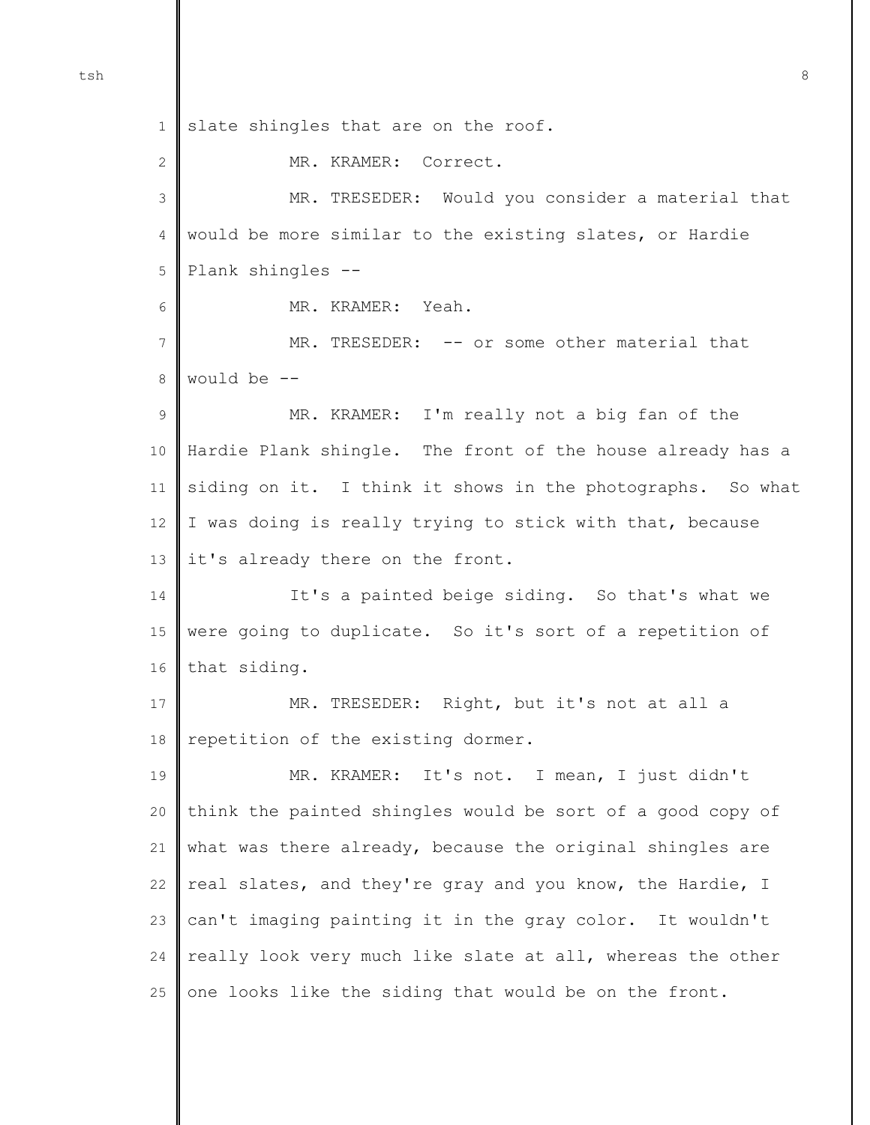1 slate shingles that are on the roof.

MR. KRAMER: Correct.

3 4 5 6 7 8 9 10 11 12 13 14 15 16 17 18 19 20 21 22 23 24 25 MR. TRESEDER: Would you consider a material that would be more similar to the existing slates, or Hardie Plank shingles -- MR. KRAMER: Yeah. MR. TRESEDER: -- or some other material that would be -- MR. KRAMER: I'm really not a big fan of the Hardie Plank shingle. The front of the house already has a siding on it. I think it shows in the photographs. So what I was doing is really trying to stick with that, because it's already there on the front. It's a painted beige siding. So that's what we were going to duplicate. So it's sort of a repetition of that siding. MR. TRESEDER: Right, but it's not at all a repetition of the existing dormer. MR. KRAMER: It's not. I mean, I just didn't think the painted shingles would be sort of a good copy of what was there already, because the original shingles are real slates, and they're gray and you know, the Hardie, I can't imaging painting it in the gray color. It wouldn't really look very much like slate at all, whereas the other one looks like the siding that would be on the front.

2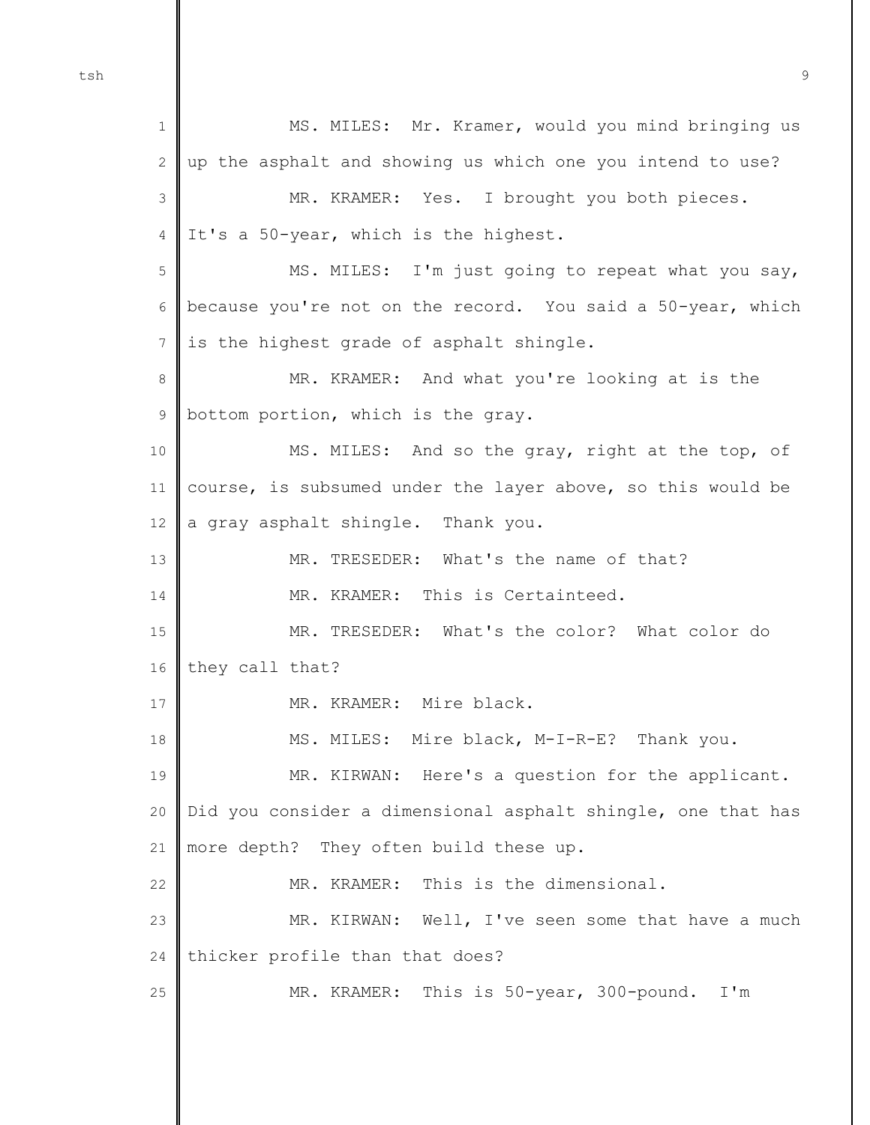tsh 9

1 2 3 4 5 6 7 8 9 10 11 12 13 14 15 16 17 18 19 20 21 22  $23$ 24 25 MS. MILES: Mr. Kramer, would you mind bringing us up the asphalt and showing us which one you intend to use? MR. KRAMER: Yes. I brought you both pieces. It's a 50-year, which is the highest. MS. MILES: I'm just going to repeat what you say, because you're not on the record. You said a 50-year, which is the highest grade of asphalt shingle. MR. KRAMER: And what you're looking at is the bottom portion, which is the gray. MS. MILES: And so the gray, right at the top, of course, is subsumed under the layer above, so this would be a gray asphalt shingle. Thank you. MR. TRESEDER: What's the name of that? MR. KRAMER: This is Certainteed. MR. TRESEDER: What's the color? What color do they call that? MR. KRAMER: Mire black. MS. MILES: Mire black, M-I-R-E? Thank you. MR. KIRWAN: Here's a question for the applicant. Did you consider a dimensional asphalt shingle, one that has more depth? They often build these up. MR. KRAMER: This is the dimensional. MR. KIRWAN: Well, I've seen some that have a much thicker profile than that does? MR. KRAMER: This is 50-year, 300-pound. I'm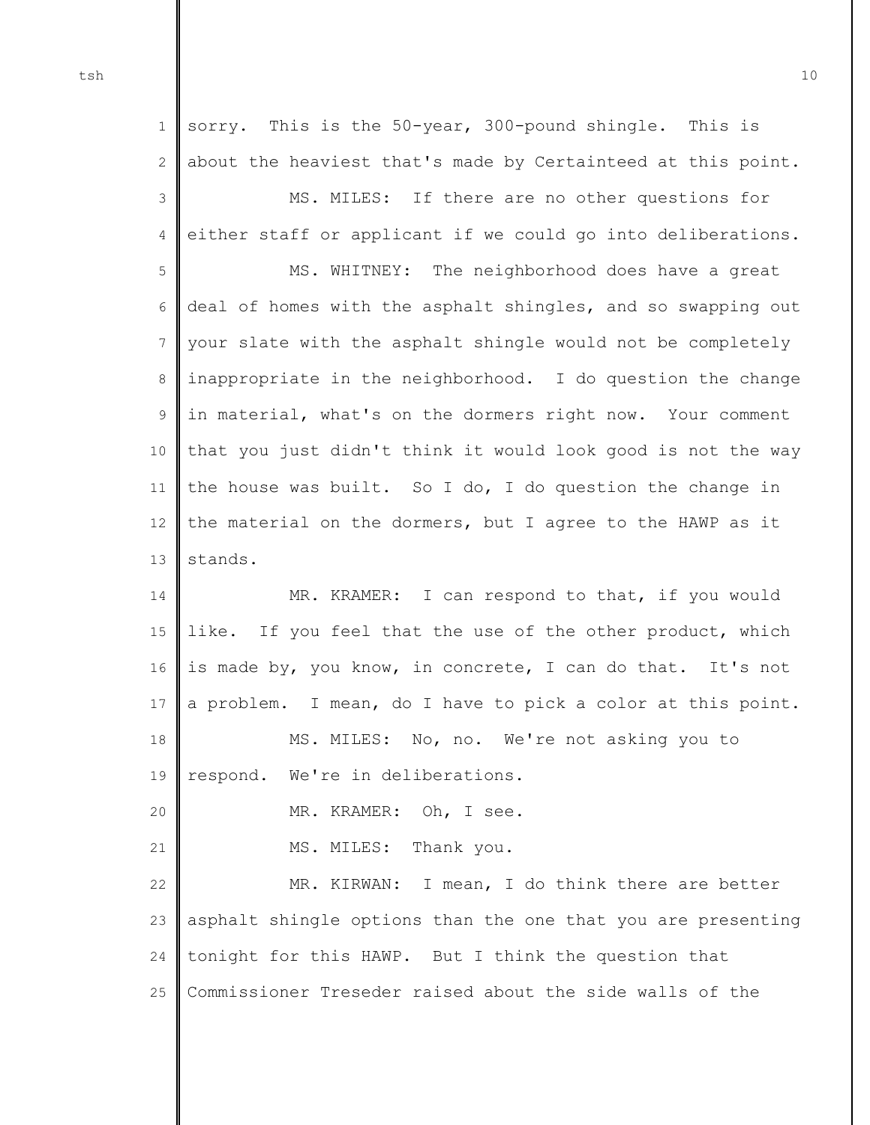1  $\mathcal{D}$ 3 4 5 6 7 8 9 10 11 12 13 14 15 16 17 18 19 20 21 22 23 24 sorry. This is the 50-year, 300-pound shingle. This is about the heaviest that's made by Certainteed at this point. MS. MILES: If there are no other questions for either staff or applicant if we could go into deliberations. MS. WHITNEY: The neighborhood does have a great deal of homes with the asphalt shingles, and so swapping out your slate with the asphalt shingle would not be completely inappropriate in the neighborhood. I do question the change in material, what's on the dormers right now. Your comment that you just didn't think it would look good is not the way the house was built. So I do, I do question the change in the material on the dormers, but I agree to the HAWP as it stands. MR. KRAMER: I can respond to that, if you would like. If you feel that the use of the other product, which is made by, you know, in concrete, I can do that. It's not a problem. I mean, do I have to pick a color at this point. MS. MILES: No, no. We're not asking you to respond. We're in deliberations. MR. KRAMER: Oh, I see. MS. MILES: Thank you. MR. KIRWAN: I mean, I do think there are better asphalt shingle options than the one that you are presenting tonight for this HAWP. But I think the question that

25 Commissioner Treseder raised about the side walls of the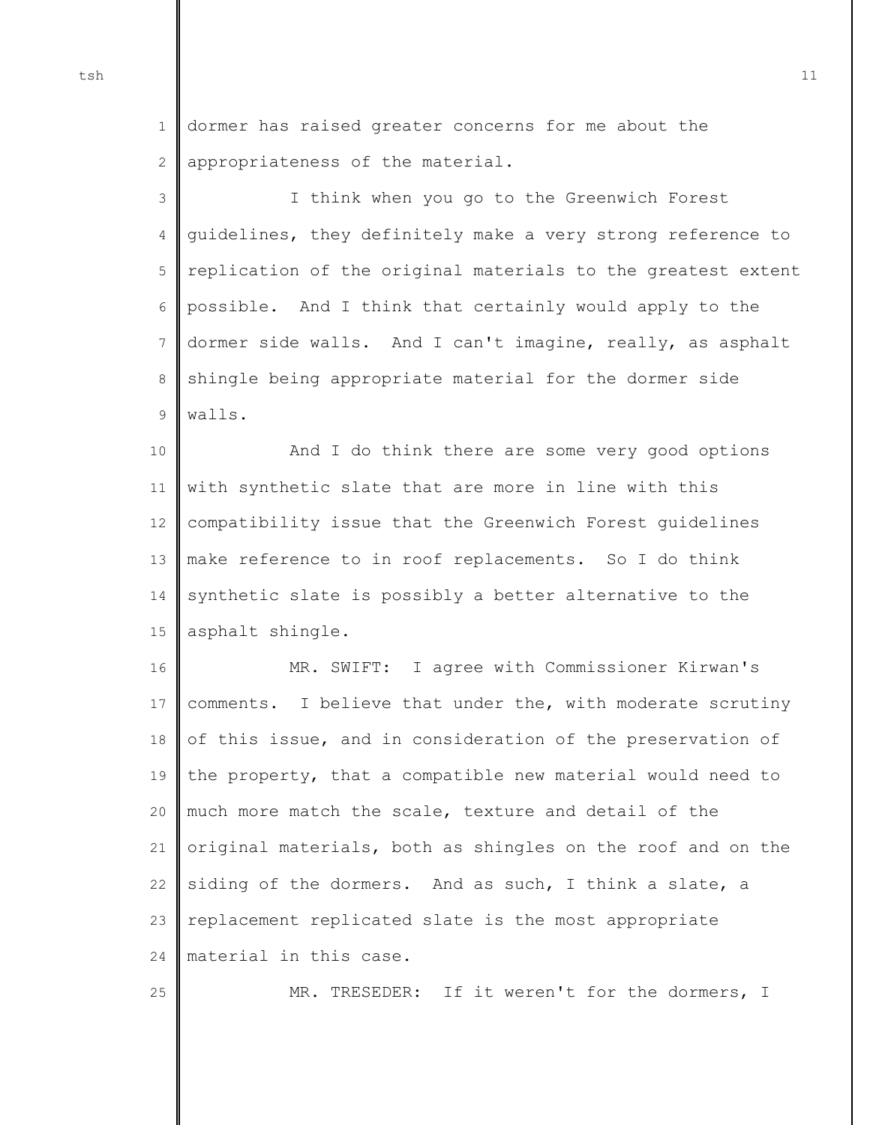1 2 dormer has raised greater concerns for me about the appropriateness of the material.

3 4 5 6 7 8 9 I think when you go to the Greenwich Forest guidelines, they definitely make a very strong reference to replication of the original materials to the greatest extent possible. And I think that certainly would apply to the dormer side walls. And I can't imagine, really, as asphalt shingle being appropriate material for the dormer side walls.

10 11 12 13 14 15 And I do think there are some very good options with synthetic slate that are more in line with this compatibility issue that the Greenwich Forest guidelines make reference to in roof replacements. So I do think synthetic slate is possibly a better alternative to the asphalt shingle.

16 17 18 19 20 21 22 23 24 MR. SWIFT: I agree with Commissioner Kirwan's comments. I believe that under the, with moderate scrutiny of this issue, and in consideration of the preservation of the property, that a compatible new material would need to much more match the scale, texture and detail of the original materials, both as shingles on the roof and on the siding of the dormers. And as such, I think a slate, a replacement replicated slate is the most appropriate material in this case.

MR. TRESEDER: If it weren't for the dormers, I

25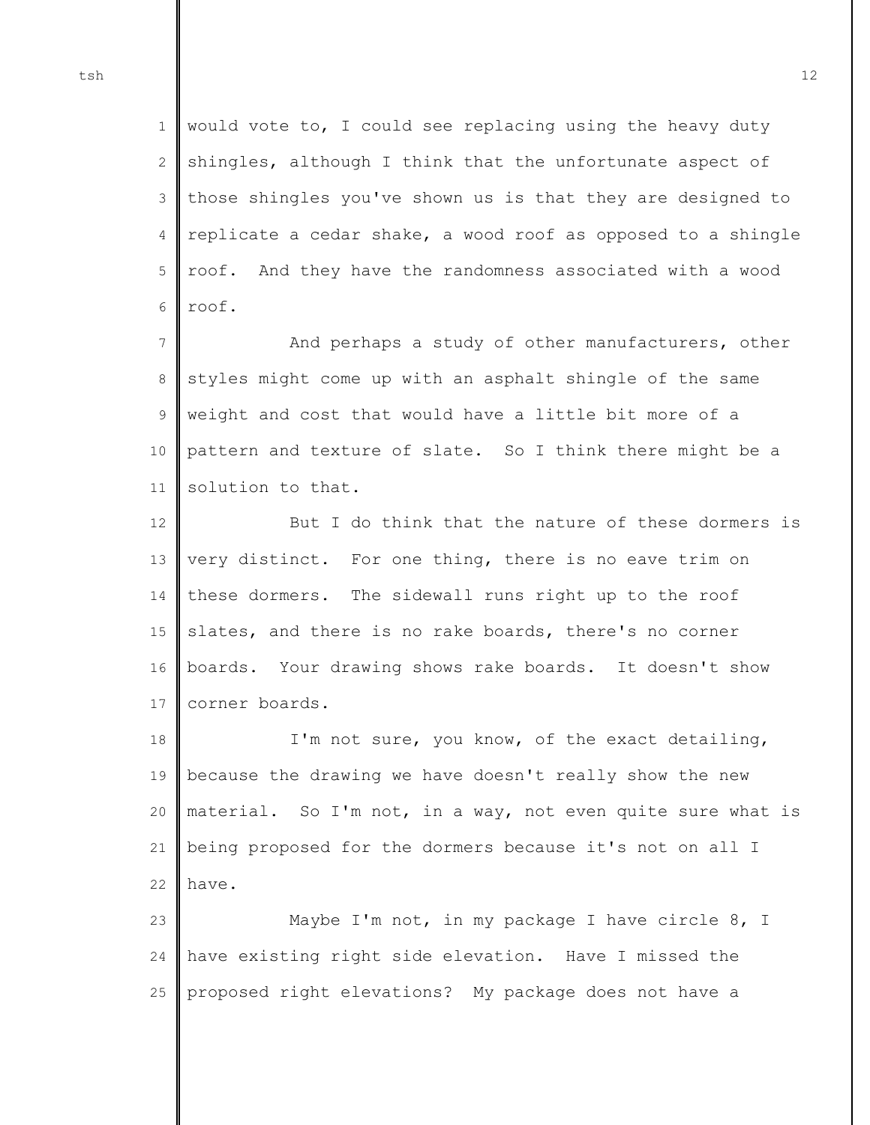1 2 3 4 5 6 would vote to, I could see replacing using the heavy duty shingles, although I think that the unfortunate aspect of those shingles you've shown us is that they are designed to replicate a cedar shake, a wood roof as opposed to a shingle roof. And they have the randomness associated with a wood roof.

7 8 9 10 11 And perhaps a study of other manufacturers, other styles might come up with an asphalt shingle of the same weight and cost that would have a little bit more of a pattern and texture of slate. So I think there might be a solution to that.

12 13 14 15 16 17 But I do think that the nature of these dormers is very distinct. For one thing, there is no eave trim on these dormers. The sidewall runs right up to the roof slates, and there is no rake boards, there's no corner boards. Your drawing shows rake boards. It doesn't show corner boards.

18 19 20 21 22 I'm not sure, you know, of the exact detailing, because the drawing we have doesn't really show the new material. So I'm not, in a way, not even quite sure what is being proposed for the dormers because it's not on all I have.

 $23$ 24 25 Maybe I'm not, in my package I have circle 8, I have existing right side elevation. Have I missed the proposed right elevations? My package does not have a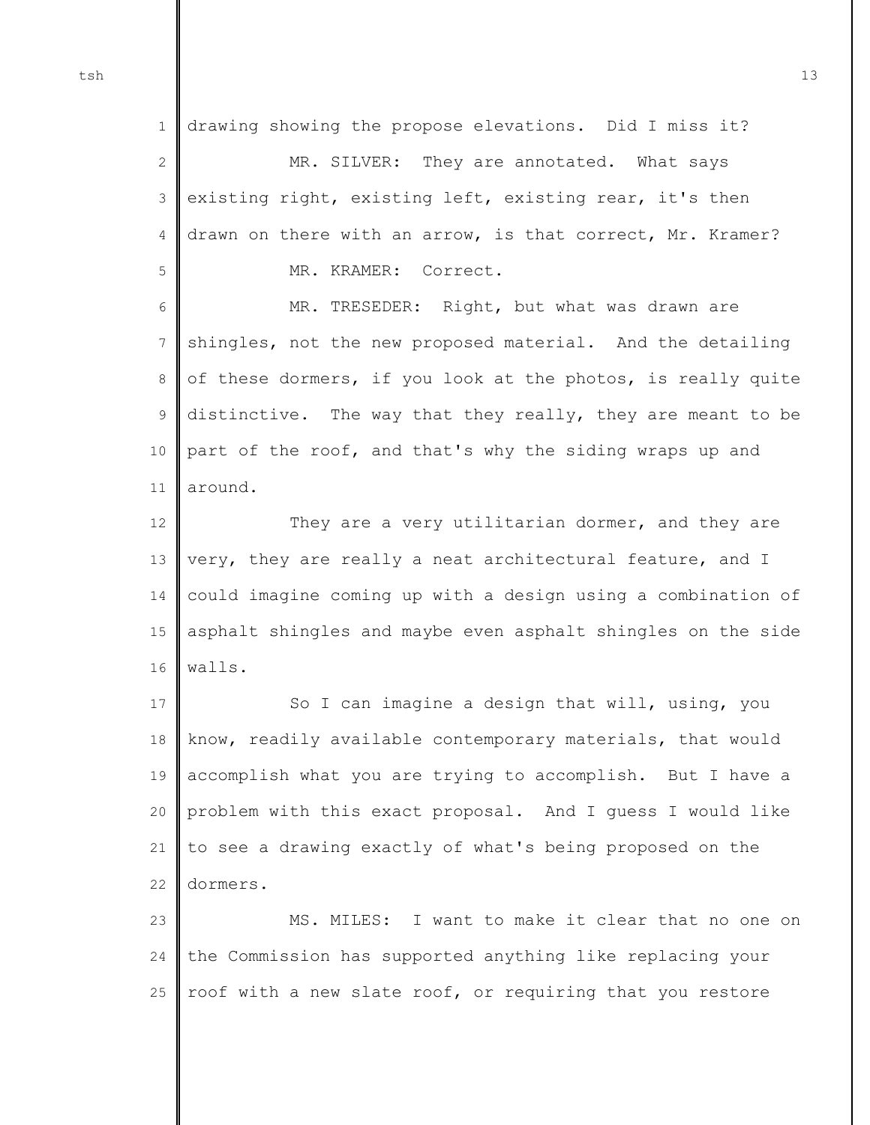1 2 3 4 5 drawing showing the propose elevations. Did I miss it? MR. SILVER: They are annotated. What says existing right, existing left, existing rear, it's then drawn on there with an arrow, is that correct, Mr. Kramer? MR. KRAMER: Correct.

6 7 8 9 10 11 MR. TRESEDER: Right, but what was drawn are shingles, not the new proposed material. And the detailing of these dormers, if you look at the photos, is really quite distinctive. The way that they really, they are meant to be part of the roof, and that's why the siding wraps up and around.

12 13 14 15 16 They are a very utilitarian dormer, and they are very, they are really a neat architectural feature, and I could imagine coming up with a design using a combination of asphalt shingles and maybe even asphalt shingles on the side walls.

17 18 19 20 21 22 So I can imagine a design that will, using, you know, readily available contemporary materials, that would accomplish what you are trying to accomplish. But I have a problem with this exact proposal. And I guess I would like to see a drawing exactly of what's being proposed on the dormers.

 $23$ 24 25 MS. MILES: I want to make it clear that no one on the Commission has supported anything like replacing your roof with a new slate roof, or requiring that you restore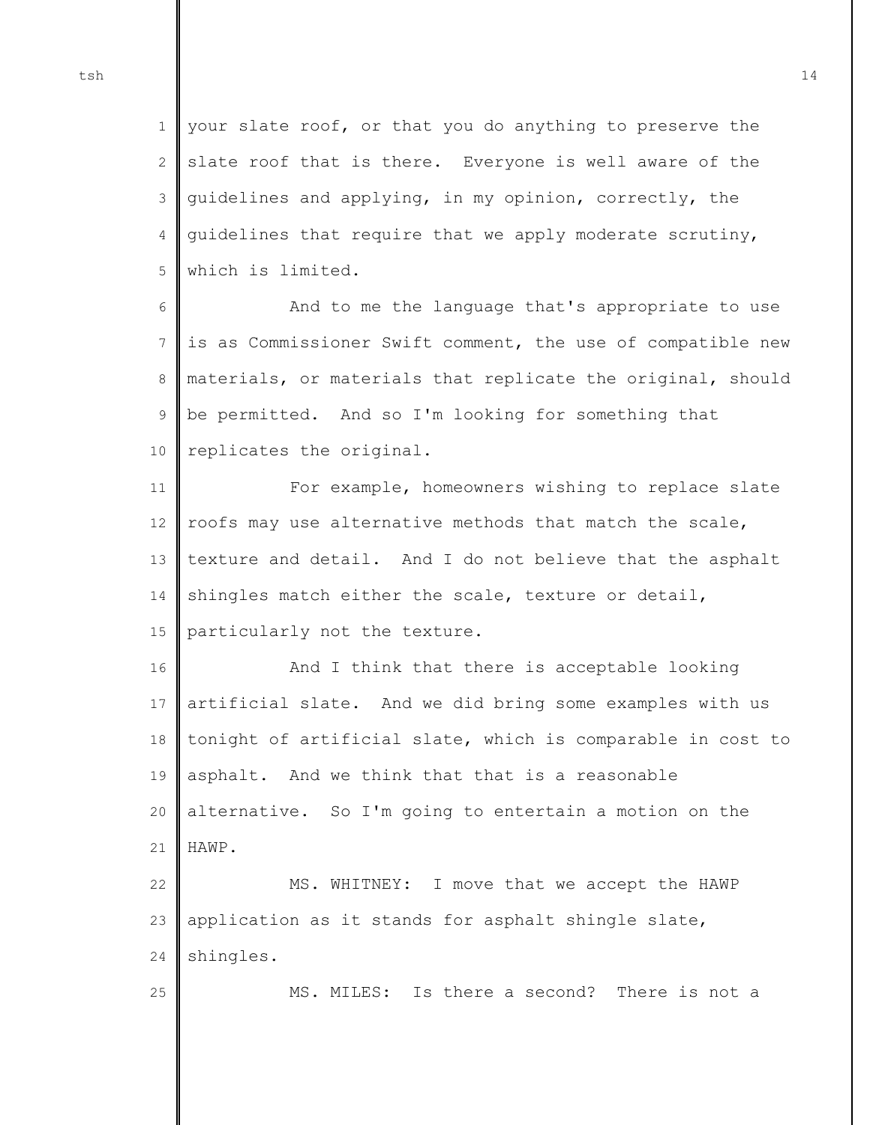25

1 2 3 4 5 your slate roof, or that you do anything to preserve the slate roof that is there. Everyone is well aware of the guidelines and applying, in my opinion, correctly, the guidelines that require that we apply moderate scrutiny, which is limited.

6 7 8 9 10 And to me the language that's appropriate to use is as Commissioner Swift comment, the use of compatible new materials, or materials that replicate the original, should be permitted. And so I'm looking for something that replicates the original.

11 12 13 14 15 For example, homeowners wishing to replace slate roofs may use alternative methods that match the scale, texture and detail. And I do not believe that the asphalt shingles match either the scale, texture or detail, particularly not the texture.

16 17 18 19 20 21 And I think that there is acceptable looking artificial slate. And we did bring some examples with us tonight of artificial slate, which is comparable in cost to asphalt. And we think that that is a reasonable alternative. So I'm going to entertain a motion on the HAWP.

22 23 24 MS. WHITNEY: I move that we accept the HAWP application as it stands for asphalt shingle slate, shingles.

MS. MILES: Is there a second? There is not a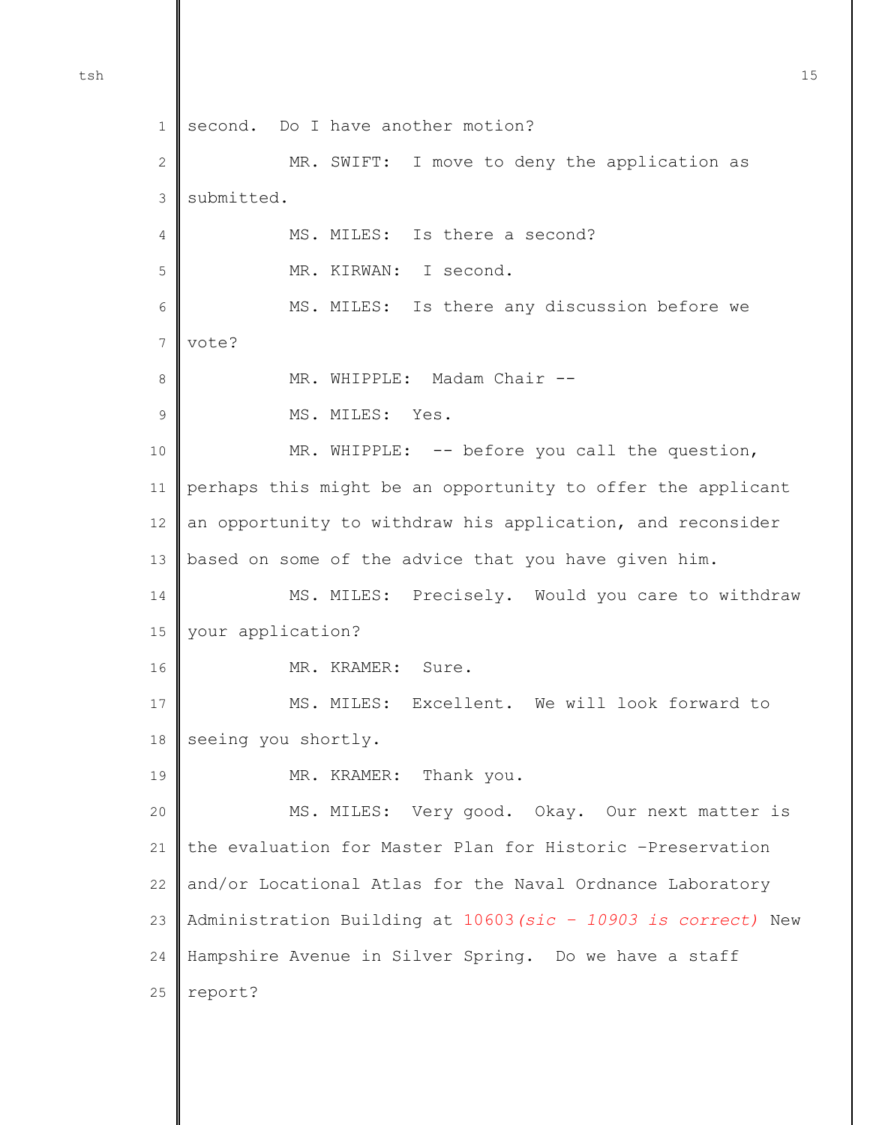1 2 3 4 5 6 7 8 9 10 11 12 13 14 15 16 17 18 19 20 21 22 23 24 25 second. Do I have another motion? MR. SWIFT: I move to deny the application as submitted. MS. MILES: Is there a second? MR. KIRWAN: I second. MS. MILES: Is there any discussion before we vote? MR. WHIPPLE: Madam Chair --MS. MILES: Yes. MR. WHIPPLE: -- before you call the question, perhaps this might be an opportunity to offer the applicant an opportunity to withdraw his application, and reconsider based on some of the advice that you have given him. MS. MILES: Precisely. Would you care to withdraw your application? MR. KRAMER: Sure. MS. MILES: Excellent. We will look forward to seeing you shortly. MR. KRAMER: Thank you. MS. MILES: Very good. Okay. Our next matter is the evaluation for Master Plan for Historic –Preservation and/or Locational Atlas for the Naval Ordnance Laboratory Administration Building at 10603*(sic – 10903 is correct)* New Hampshire Avenue in Silver Spring. Do we have a staff report?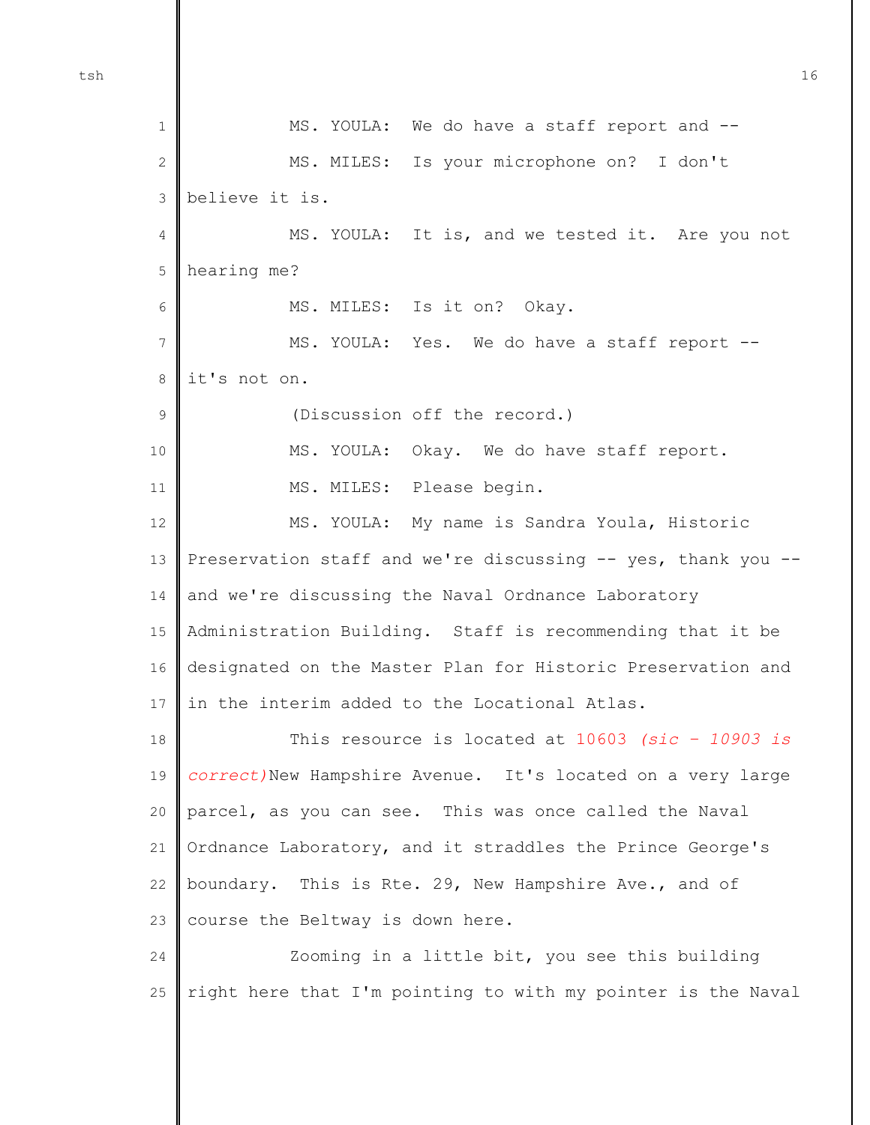1 2 3 4 5 6 7 8 9 10 11 12 13 14 15 16 17 18 19 20 21 22 23 24 25 MS. YOULA: We do have a staff report and --MS. MILES: Is your microphone on? I don't believe it is. MS. YOULA: It is, and we tested it. Are you not hearing me? MS. MILES: Is it on? Okay. MS. YOULA: Yes. We do have a staff report - it's not on. (Discussion off the record.) MS. YOULA: Okay. We do have staff report. MS. MILES: Please begin. MS. YOULA: My name is Sandra Youla, Historic Preservation staff and we're discussing -- yes, thank you - and we're discussing the Naval Ordnance Laboratory Administration Building. Staff is recommending that it be designated on the Master Plan for Historic Preservation and in the interim added to the Locational Atlas. This resource is located at 10603 *(sic – 10903 is correct)*New Hampshire Avenue. It's located on a very large parcel, as you can see. This was once called the Naval Ordnance Laboratory, and it straddles the Prince George's boundary. This is Rte. 29, New Hampshire Ave., and of course the Beltway is down here. Zooming in a little bit, you see this building right here that I'm pointing to with my pointer is the Naval

tsh  $16$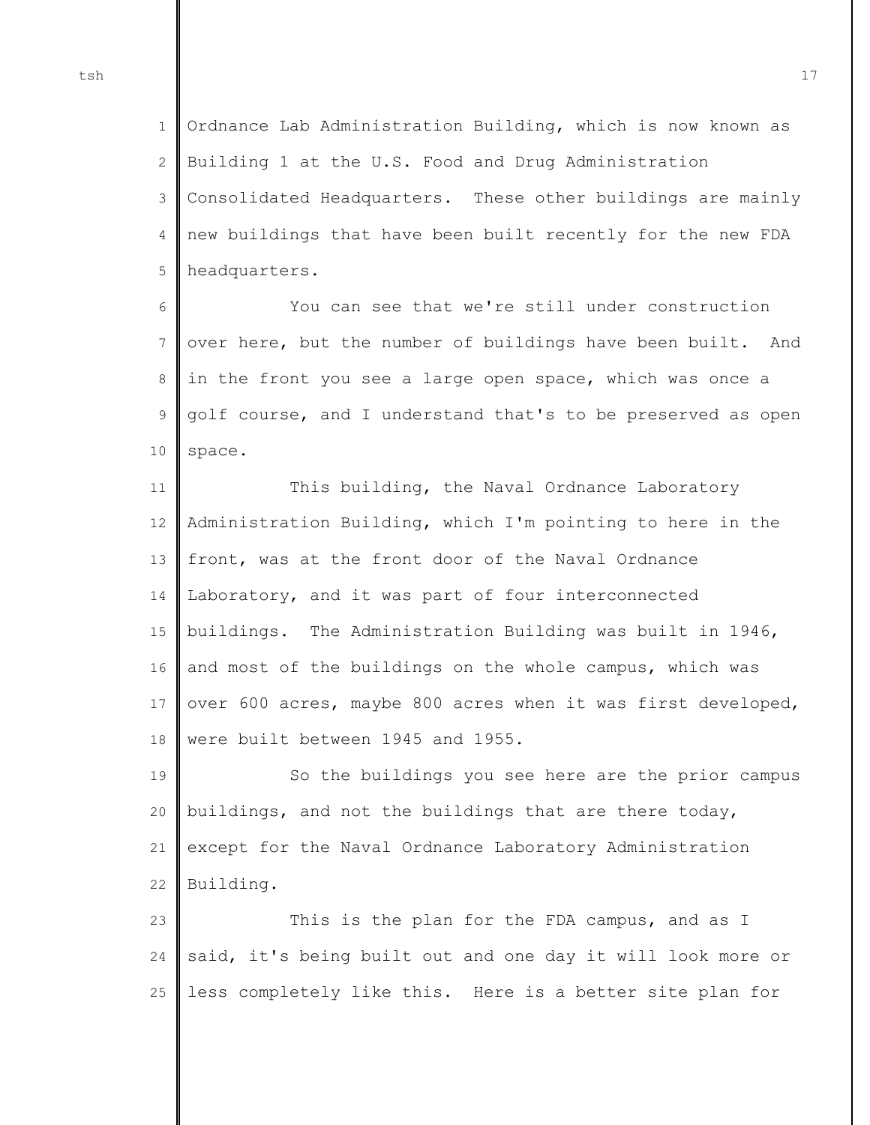1  $\mathfrak{D}$ 3 4 5 Ordnance Lab Administration Building, which is now known as Building 1 at the U.S. Food and Drug Administration Consolidated Headquarters. These other buildings are mainly new buildings that have been built recently for the new FDA headquarters.

6 7 8 9 10 You can see that we're still under construction over here, but the number of buildings have been built. And in the front you see a large open space, which was once a golf course, and I understand that's to be preserved as open space.

11 12 13 14 15 16 17 18 This building, the Naval Ordnance Laboratory Administration Building, which I'm pointing to here in the front, was at the front door of the Naval Ordnance Laboratory, and it was part of four interconnected buildings. The Administration Building was built in 1946, and most of the buildings on the whole campus, which was over 600 acres, maybe 800 acres when it was first developed, were built between 1945 and 1955.

19 20 21 22 So the buildings you see here are the prior campus buildings, and not the buildings that are there today, except for the Naval Ordnance Laboratory Administration Building.

 $23$ 24 25 This is the plan for the FDA campus, and as I said, it's being built out and one day it will look more or less completely like this. Here is a better site plan for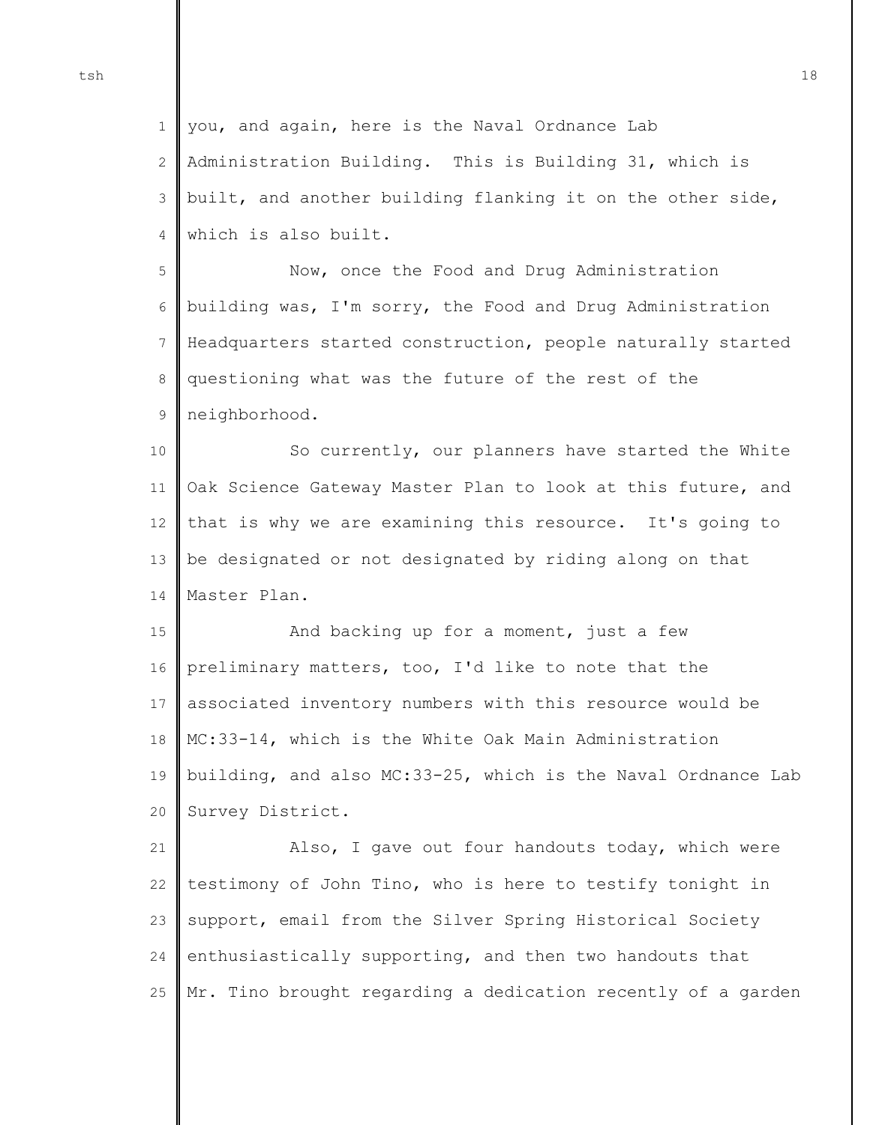1  $\mathcal{D}$ 3 4 you, and again, here is the Naval Ordnance Lab Administration Building. This is Building 31, which is built, and another building flanking it on the other side, which is also built.

5 6 7 8 9 Now, once the Food and Drug Administration building was, I'm sorry, the Food and Drug Administration Headquarters started construction, people naturally started questioning what was the future of the rest of the neighborhood.

10 11 12 13 14 So currently, our planners have started the White Oak Science Gateway Master Plan to look at this future, and that is why we are examining this resource. It's going to be designated or not designated by riding along on that Master Plan.

15 16 17 18 19 20 And backing up for a moment, just a few preliminary matters, too, I'd like to note that the associated inventory numbers with this resource would be MC:33-14, which is the White Oak Main Administration building, and also MC:33-25, which is the Naval Ordnance Lab Survey District.

21 22 23 24 25 Also, I gave out four handouts today, which were testimony of John Tino, who is here to testify tonight in support, email from the Silver Spring Historical Society enthusiastically supporting, and then two handouts that Mr. Tino brought regarding a dedication recently of a garden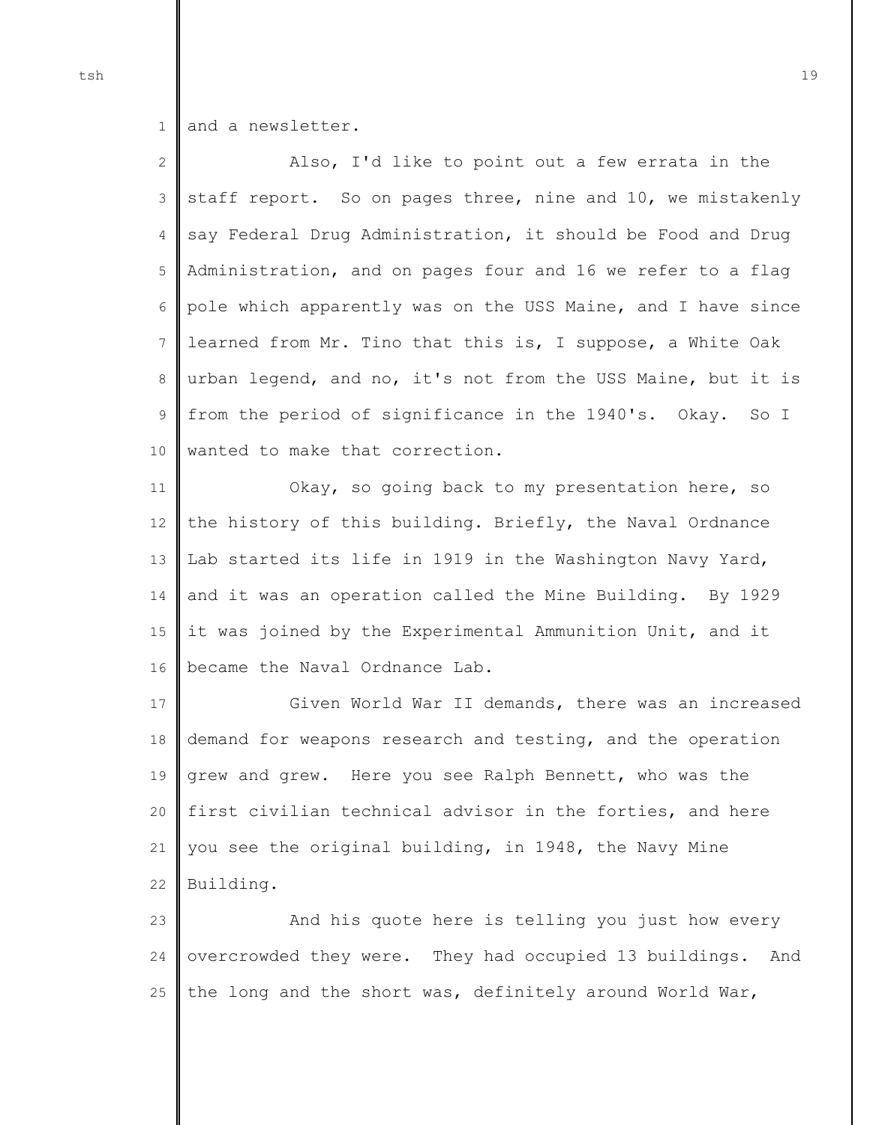1 and a newsletter.

2 3 4 5 6 7 8 9 10 Also, I'd like to point out a few errata in the staff report. So on pages three, nine and 10, we mistakenly say Federal Drug Administration, it should be Food and Drug Administration, and on pages four and 16 we refer to a flag pole which apparently was on the USS Maine, and I have since learned from Mr. Tino that this is, I suppose, a White Oak urban legend, and no, it's not from the USS Maine, but it is from the period of significance in the 1940's. Okay. So I wanted to make that correction.

11 12 13 14 15 16 Okay, so going back to my presentation here, so the history of this building. Briefly, the Naval Ordnance Lab started its life in 1919 in the Washington Navy Yard, and it was an operation called the Mine Building. By 1929 it was joined by the Experimental Ammunition Unit, and it became the Naval Ordnance Lab.

17 18 19 20 21 22 Given World War II demands, there was an increased demand for weapons research and testing, and the operation grew and grew. Here you see Ralph Bennett, who was the first civilian technical advisor in the forties, and here you see the original building, in 1948, the Navy Mine Building.

 $23$ 24 25 And his quote here is telling you just how every overcrowded they were. They had occupied 13 buildings. And the long and the short was, definitely around World War,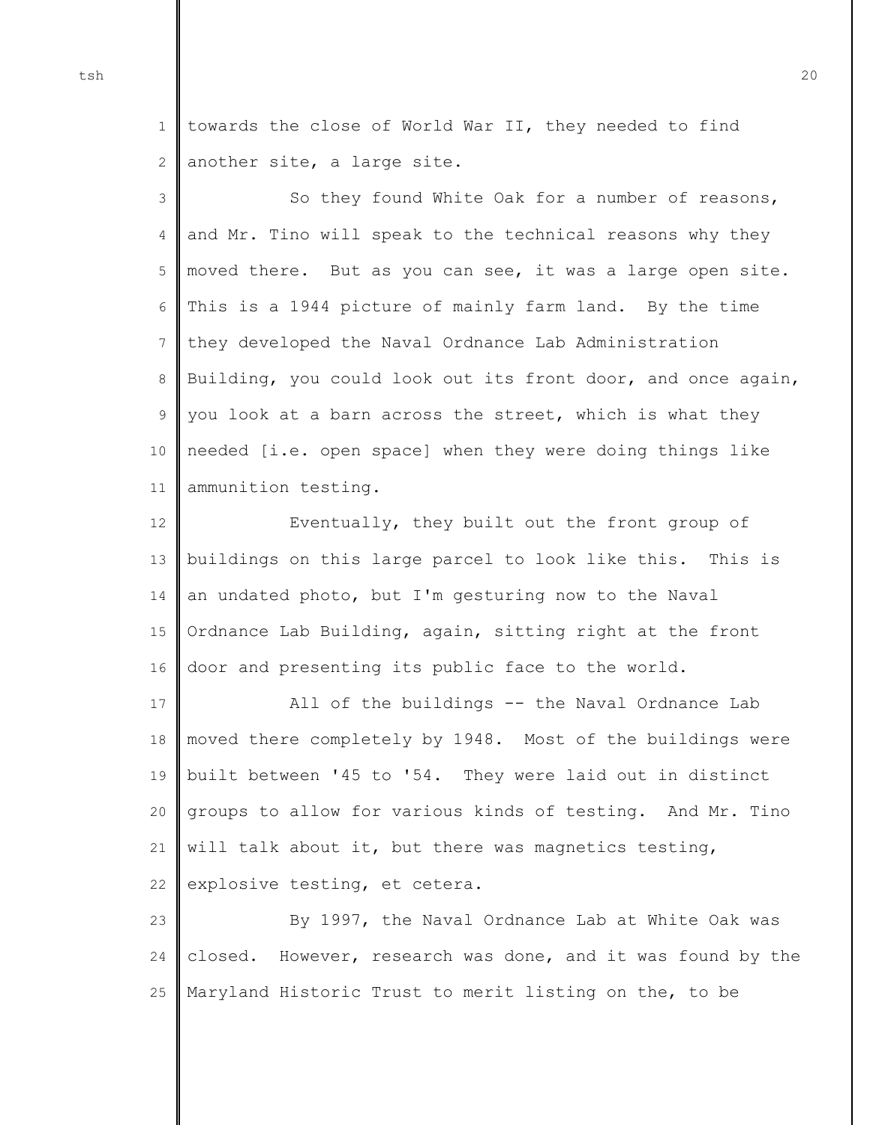1  $\mathcal{D}$ towards the close of World War II, they needed to find another site, a large site.

3 4 5 6 7 8 9 10 11 So they found White Oak for a number of reasons, and Mr. Tino will speak to the technical reasons why they moved there. But as you can see, it was a large open site. This is a 1944 picture of mainly farm land. By the time they developed the Naval Ordnance Lab Administration Building, you could look out its front door, and once again, you look at a barn across the street, which is what they needed [i.e. open space] when they were doing things like ammunition testing.

12 13 14 15 16 Eventually, they built out the front group of buildings on this large parcel to look like this. This is an undated photo, but I'm gesturing now to the Naval Ordnance Lab Building, again, sitting right at the front door and presenting its public face to the world.

17 18 19 20 21 22 All of the buildings -- the Naval Ordnance Lab moved there completely by 1948. Most of the buildings were built between '45 to '54. They were laid out in distinct groups to allow for various kinds of testing. And Mr. Tino will talk about it, but there was magnetics testing, explosive testing, et cetera.

 $23$ 24 25 By 1997, the Naval Ordnance Lab at White Oak was closed. However, research was done, and it was found by the Maryland Historic Trust to merit listing on the, to be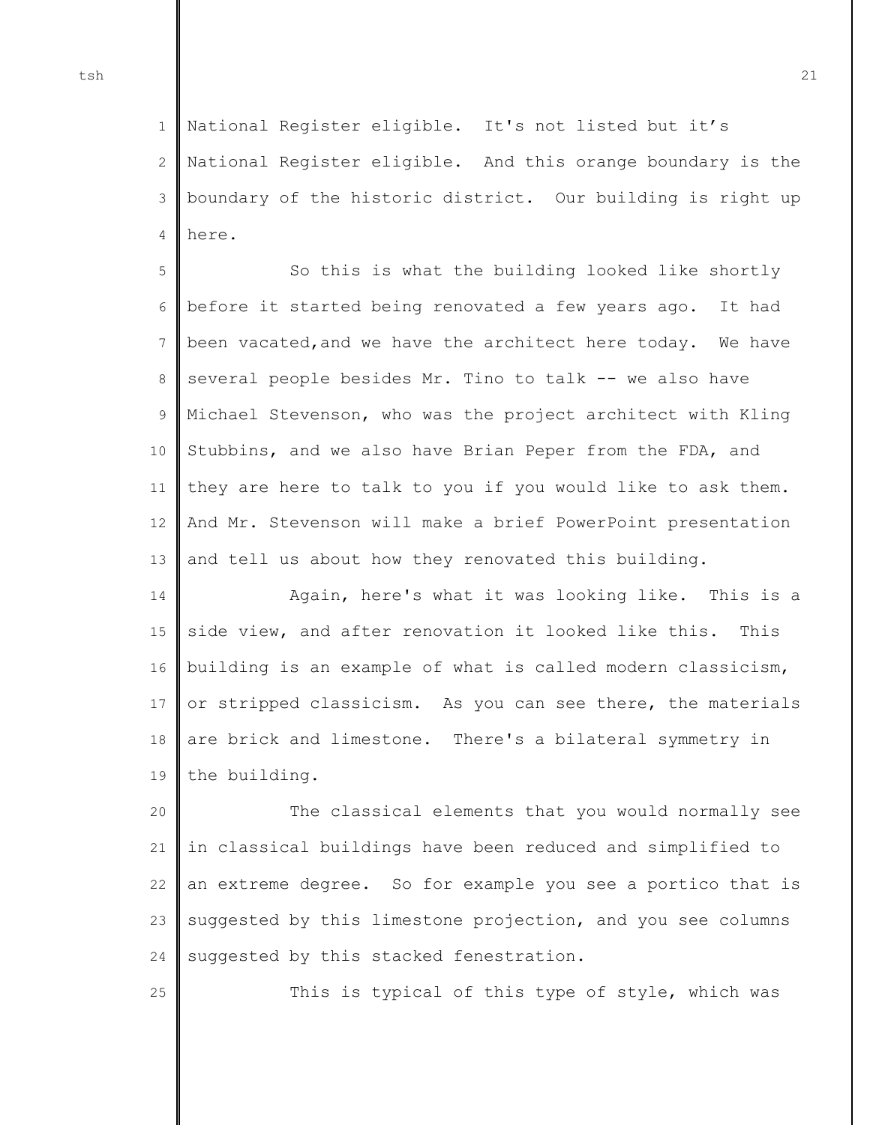25

1  $\mathfrak{D}$ 3 4 National Register eligible. It's not listed but it's National Register eligible. And this orange boundary is the boundary of the historic district. Our building is right up here.

5 6 7 8 9 10 11 12 13 So this is what the building looked like shortly before it started being renovated a few years ago. It had been vacated,and we have the architect here today. We have several people besides Mr. Tino to talk -- we also have Michael Stevenson, who was the project architect with Kling Stubbins, and we also have Brian Peper from the FDA, and they are here to talk to you if you would like to ask them. And Mr. Stevenson will make a brief PowerPoint presentation and tell us about how they renovated this building.

14 15 16 17 18 19 Again, here's what it was looking like. This is a side view, and after renovation it looked like this. This building is an example of what is called modern classicism, or stripped classicism. As you can see there, the materials are brick and limestone. There's a bilateral symmetry in the building.

20 21 22 23 24 The classical elements that you would normally see in classical buildings have been reduced and simplified to an extreme degree. So for example you see a portico that is suggested by this limestone projection, and you see columns suggested by this stacked fenestration.

This is typical of this type of style, which was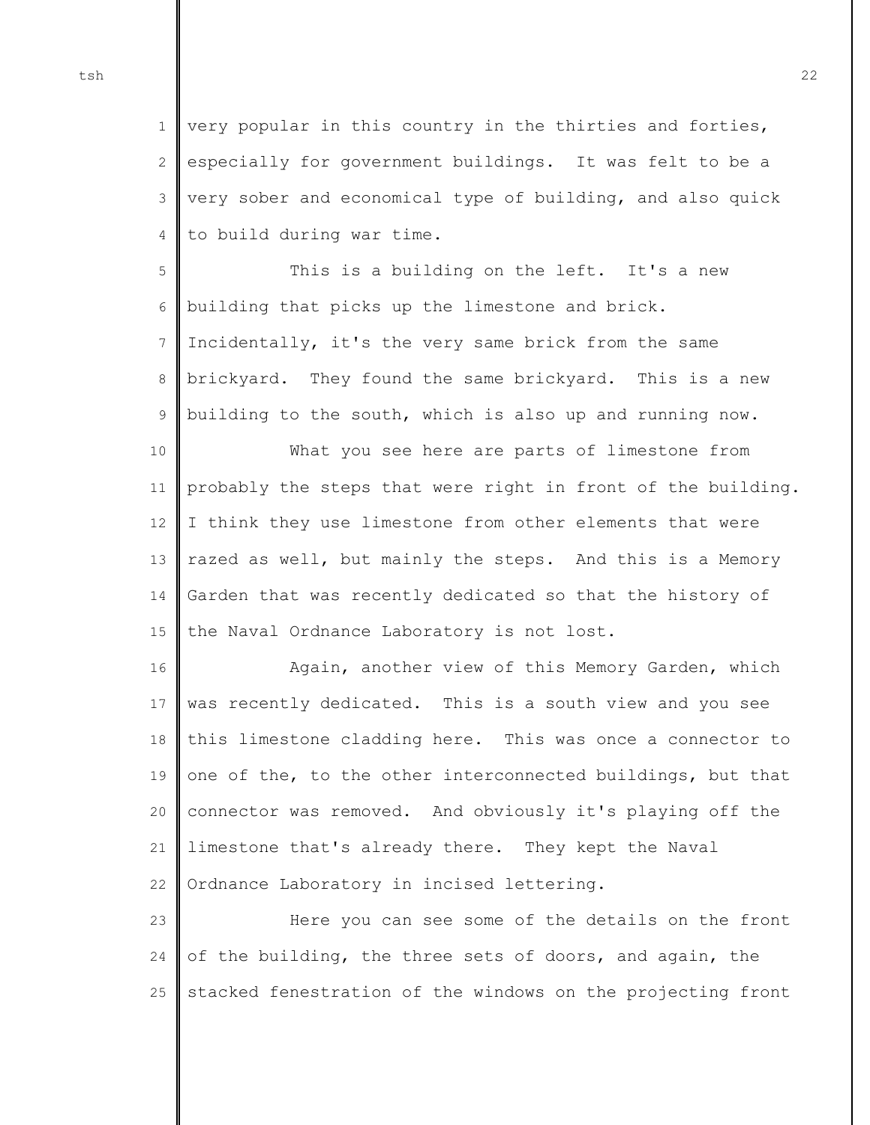1 2 3 4 very popular in this country in the thirties and forties, especially for government buildings. It was felt to be a very sober and economical type of building, and also quick to build during war time.

5 6 7 8 9 This is a building on the left. It's a new building that picks up the limestone and brick. Incidentally, it's the very same brick from the same brickyard. They found the same brickyard. This is a new building to the south, which is also up and running now.

10 11 12 13 14 15 What you see here are parts of limestone from probably the steps that were right in front of the building. I think they use limestone from other elements that were razed as well, but mainly the steps. And this is a Memory Garden that was recently dedicated so that the history of the Naval Ordnance Laboratory is not lost.

16 17 18 19 20 21 22 Again, another view of this Memory Garden, which was recently dedicated. This is a south view and you see this limestone cladding here. This was once a connector to one of the, to the other interconnected buildings, but that connector was removed. And obviously it's playing off the limestone that's already there. They kept the Naval Ordnance Laboratory in incised lettering.

23 24 25 Here you can see some of the details on the front of the building, the three sets of doors, and again, the stacked fenestration of the windows on the projecting front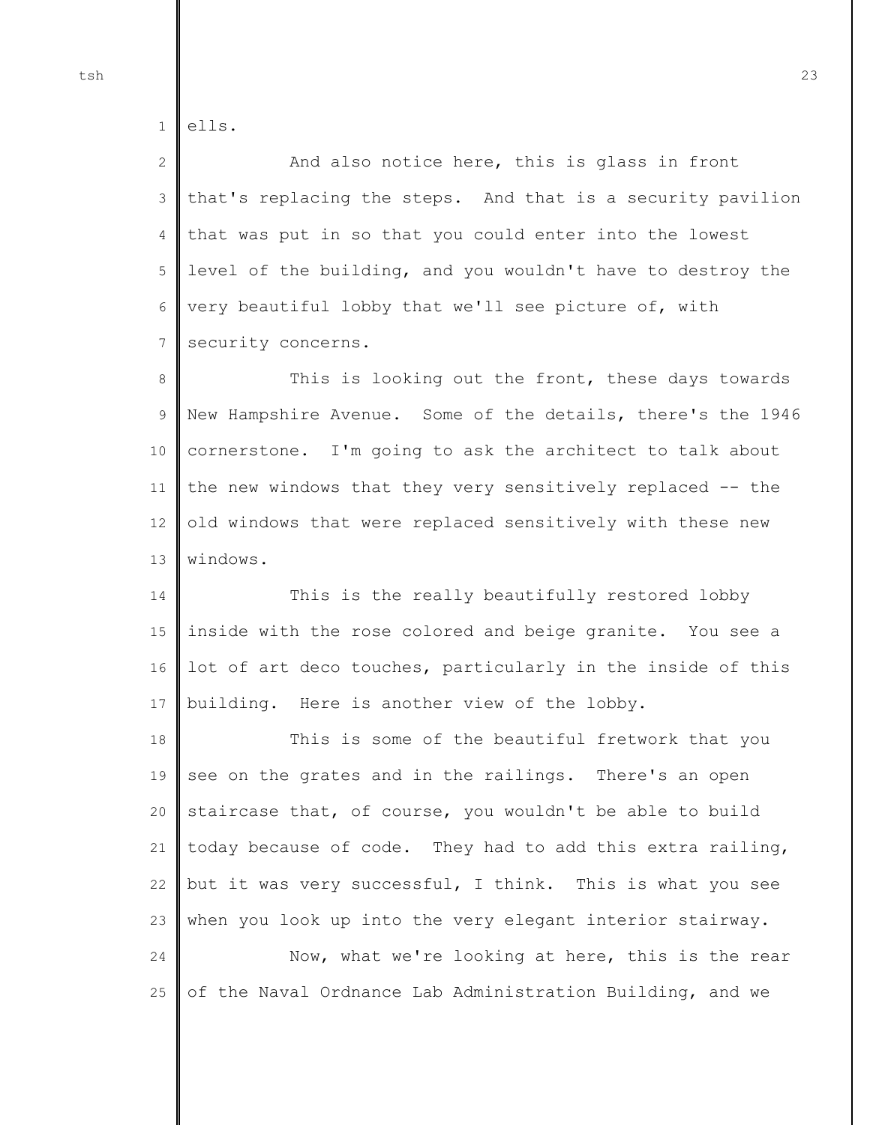1 ells.

2 3 4 5 6 7 And also notice here, this is glass in front that's replacing the steps. And that is a security pavilion that was put in so that you could enter into the lowest level of the building, and you wouldn't have to destroy the very beautiful lobby that we'll see picture of, with security concerns.

8 9 10 11 12 13 This is looking out the front, these days towards New Hampshire Avenue. Some of the details, there's the 1946 cornerstone. I'm going to ask the architect to talk about the new windows that they very sensitively replaced -- the old windows that were replaced sensitively with these new windows.

14 15 16 17 This is the really beautifully restored lobby inside with the rose colored and beige granite. You see a lot of art deco touches, particularly in the inside of this building. Here is another view of the lobby.

18 19 20 21 22 23 This is some of the beautiful fretwork that you see on the grates and in the railings. There's an open staircase that, of course, you wouldn't be able to build today because of code. They had to add this extra railing, but it was very successful, I think. This is what you see when you look up into the very elegant interior stairway.

24 25 Now, what we're looking at here, this is the rear of the Naval Ordnance Lab Administration Building, and we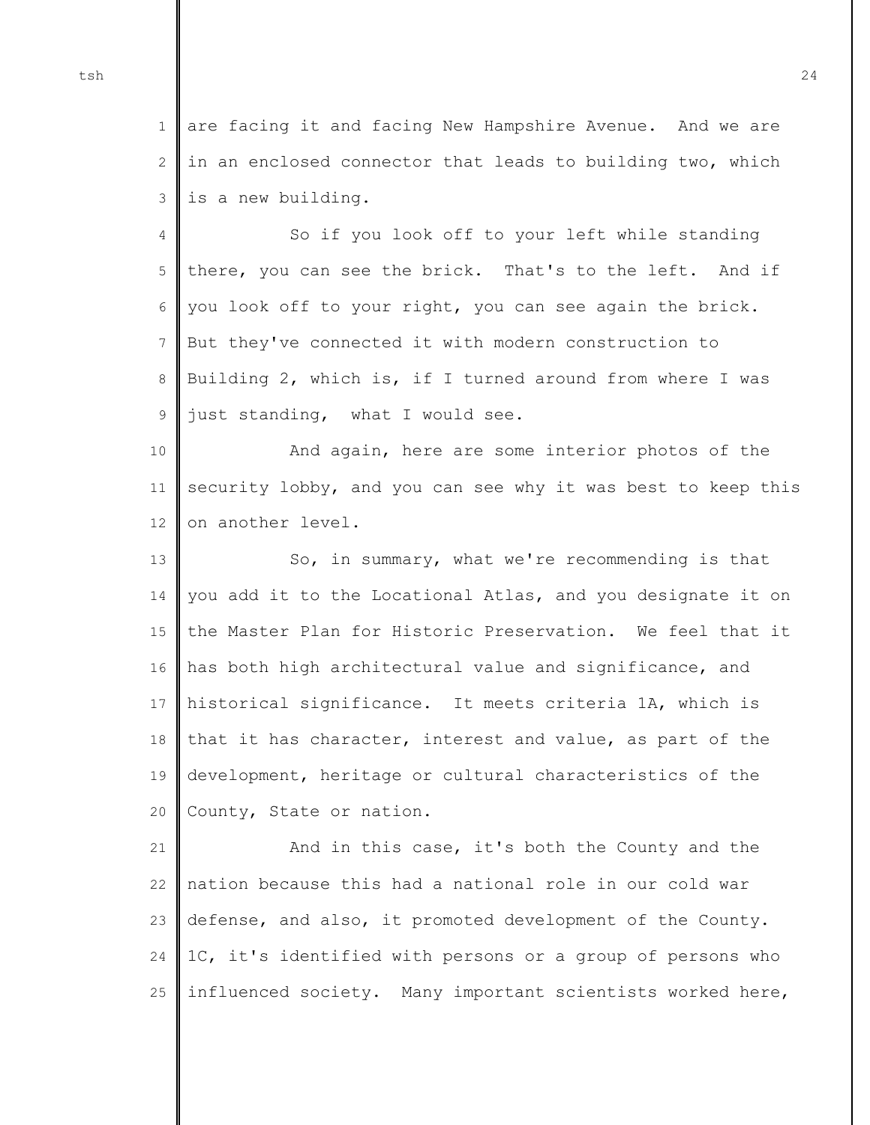1 2 3 are facing it and facing New Hampshire Avenue. And we are in an enclosed connector that leads to building two, which is a new building.

4 5 6 7 8 9 So if you look off to your left while standing there, you can see the brick. That's to the left. And if you look off to your right, you can see again the brick. But they've connected it with modern construction to Building 2, which is, if I turned around from where I was just standing, what I would see.

10 11 12 And again, here are some interior photos of the security lobby, and you can see why it was best to keep this on another level.

13 14 15 16 17 18 19 20 So, in summary, what we're recommending is that you add it to the Locational Atlas, and you designate it on the Master Plan for Historic Preservation. We feel that it has both high architectural value and significance, and historical significance. It meets criteria 1A, which is that it has character, interest and value, as part of the development, heritage or cultural characteristics of the County, State or nation.

21 22 23 24 25 And in this case, it's both the County and the nation because this had a national role in our cold war defense, and also, it promoted development of the County. 1C, it's identified with persons or a group of persons who influenced society. Many important scientists worked here,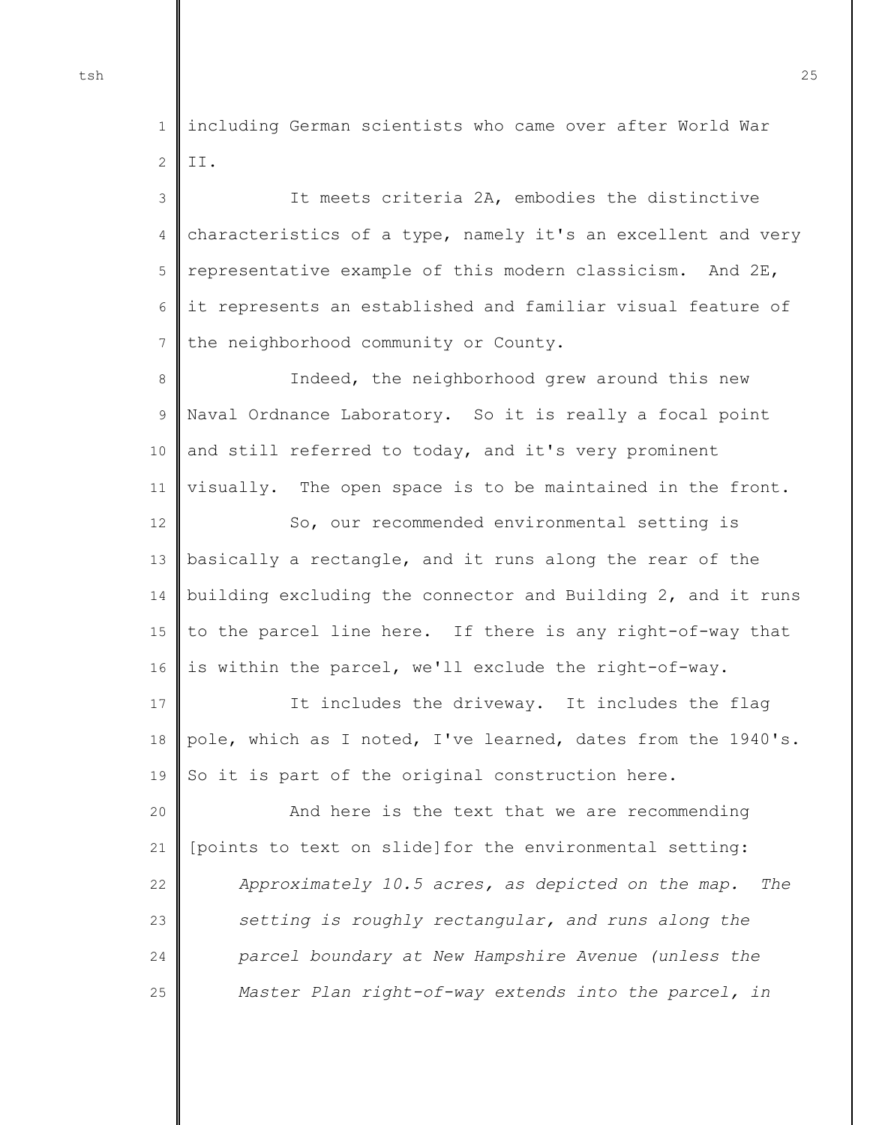1 2 including German scientists who came over after World War II.

3 4 5 6 7 It meets criteria 2A, embodies the distinctive characteristics of a type, namely it's an excellent and very representative example of this modern classicism. And 2E, it represents an established and familiar visual feature of the neighborhood community or County.

8 9 10 11 12 13 14 15 16 Indeed, the neighborhood grew around this new Naval Ordnance Laboratory. So it is really a focal point and still referred to today, and it's very prominent visually. The open space is to be maintained in the front. So, our recommended environmental setting is basically a rectangle, and it runs along the rear of the building excluding the connector and Building 2, and it runs to the parcel line here. If there is any right-of-way that is within the parcel, we'll exclude the right-of-way.

17 18 19 It includes the driveway. It includes the flag pole, which as I noted, I've learned, dates from the 1940's. So it is part of the original construction here.

20 21 22  $23$ 24 25 And here is the text that we are recommending [points to text on slide]for the environmental setting: *Approximately 10.5 acres, as depicted on the map. The setting is roughly rectangular, and runs along the parcel boundary at New Hampshire Avenue (unless the Master Plan right-of-way extends into the parcel, in*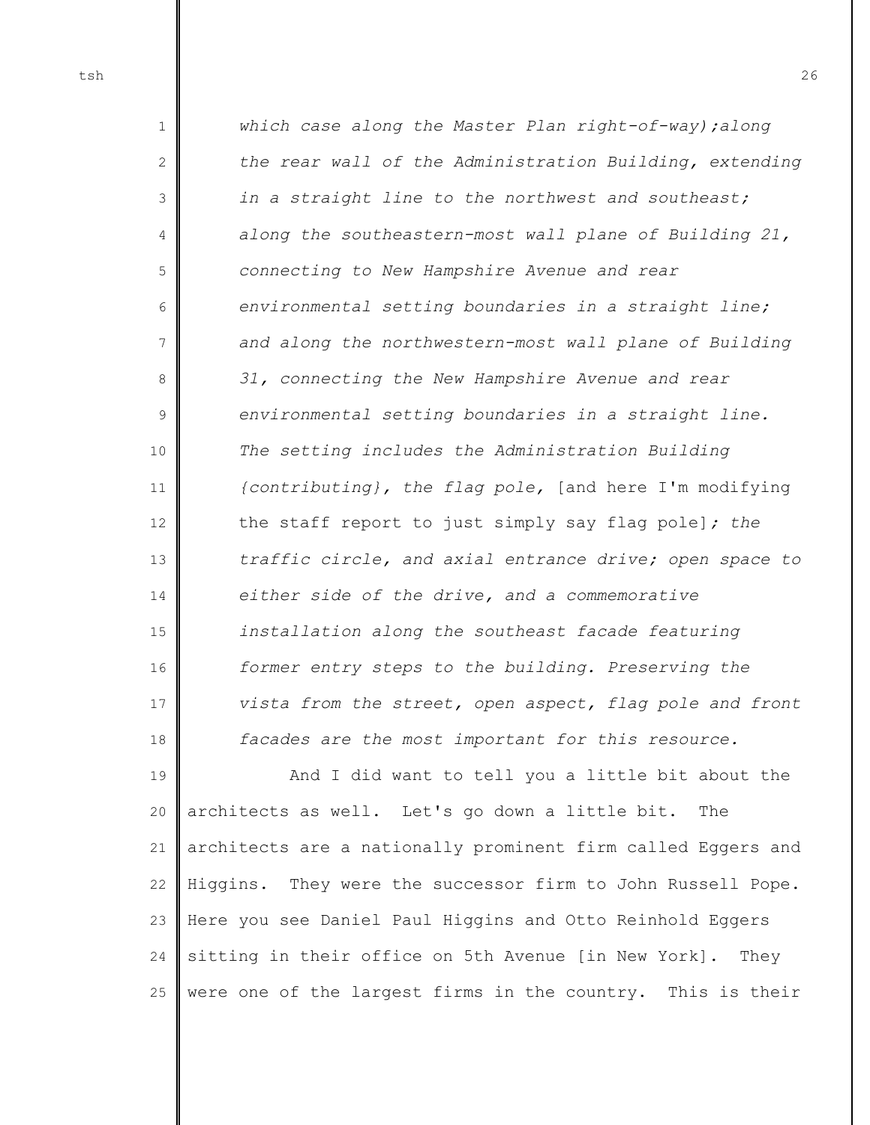1 2 3 4 5 6 7 8 9 10 11 12 13 14 15 16 17 18 *which case along the Master Plan right-of-way);along the rear wall of the Administration Building, extending in a straight line to the northwest and southeast; along the southeastern-most wall plane of Building 21, connecting to New Hampshire Avenue and rear environmental setting boundaries in a straight line; and along the northwestern-most wall plane of Building 31, connecting the New Hampshire Avenue and rear environmental setting boundaries in a straight line. The setting includes the Administration Building {contributing}, the flag pole,* [and here I'm modifying the staff report to just simply say flag pole]*; the traffic circle, and axial entrance drive; open space to either side of the drive, and a commemorative installation along the southeast facade featuring former entry steps to the building. Preserving the vista from the street, open aspect, flag pole and front facades are the most important for this resource.* 

19 20 21 22 23 24 25 And I did want to tell you a little bit about the architects as well. Let's go down a little bit. The architects are a nationally prominent firm called Eggers and Higgins. They were the successor firm to John Russell Pope. Here you see Daniel Paul Higgins and Otto Reinhold Eggers sitting in their office on 5th Avenue [in New York]. They were one of the largest firms in the country. This is their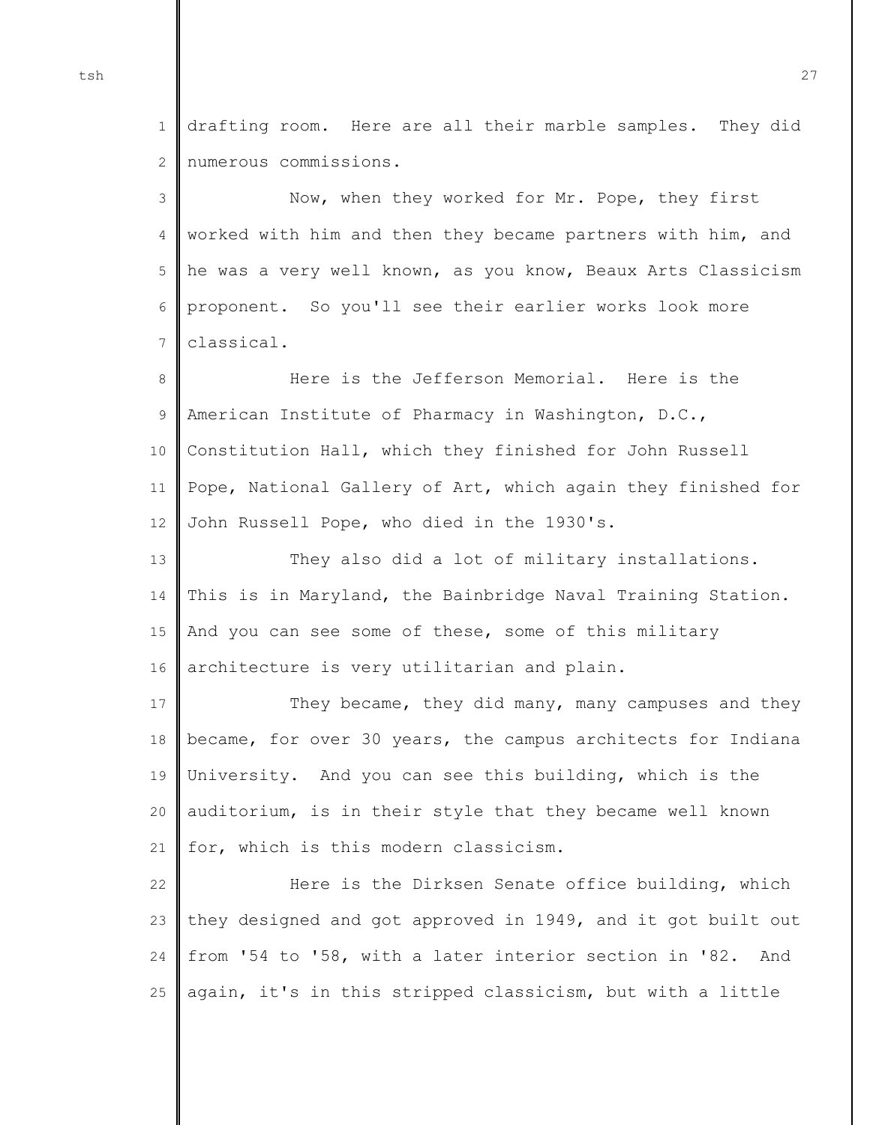1  $\mathcal{D}$ drafting room. Here are all their marble samples. They did numerous commissions.

3 4 5 6 7 Now, when they worked for Mr. Pope, they first worked with him and then they became partners with him, and he was a very well known, as you know, Beaux Arts Classicism proponent. So you'll see their earlier works look more classical.

8 9 10 11 12 Here is the Jefferson Memorial. Here is the American Institute of Pharmacy in Washington, D.C., Constitution Hall, which they finished for John Russell Pope, National Gallery of Art, which again they finished for John Russell Pope, who died in the 1930's.

13 14 15 16 They also did a lot of military installations. This is in Maryland, the Bainbridge Naval Training Station. And you can see some of these, some of this military architecture is very utilitarian and plain.

17 18 19 20 21 They became, they did many, many campuses and they became, for over 30 years, the campus architects for Indiana University. And you can see this building, which is the auditorium, is in their style that they became well known for, which is this modern classicism.

22 23 24 25 Here is the Dirksen Senate office building, which they designed and got approved in 1949, and it got built out from '54 to '58, with a later interior section in '82. And again, it's in this stripped classicism, but with a little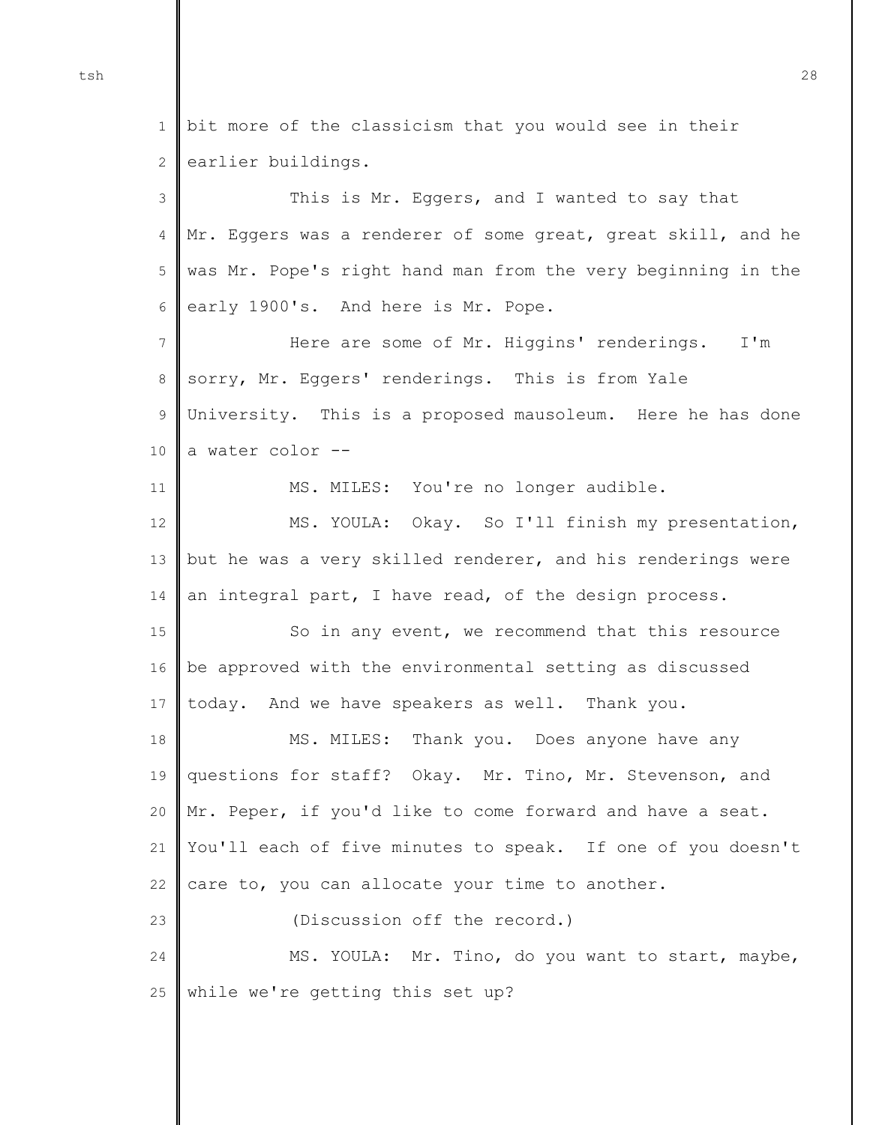1 2 bit more of the classicism that you would see in their earlier buildings.

3 4 5 6 7 8 9 10 11 12 13 14 15 16 17 18 19 20 21 22 23 24 25 This is Mr. Eggers, and I wanted to say that Mr. Eggers was a renderer of some great, great skill, and he was Mr. Pope's right hand man from the very beginning in the early 1900's. And here is Mr. Pope. Here are some of Mr. Higgins' renderings. I'm sorry, Mr. Eggers' renderings. This is from Yale University. This is a proposed mausoleum. Here he has done a water color -- MS. MILES: You're no longer audible. MS. YOULA: Okay. So I'll finish my presentation, but he was a very skilled renderer, and his renderings were an integral part, I have read, of the design process. So in any event, we recommend that this resource be approved with the environmental setting as discussed today. And we have speakers as well. Thank you. MS. MILES: Thank you. Does anyone have any questions for staff? Okay. Mr. Tino, Mr. Stevenson, and Mr. Peper, if you'd like to come forward and have a seat. You'll each of five minutes to speak. If one of you doesn't care to, you can allocate your time to another. (Discussion off the record.) MS. YOULA: Mr. Tino, do you want to start, maybe, while we're getting this set up?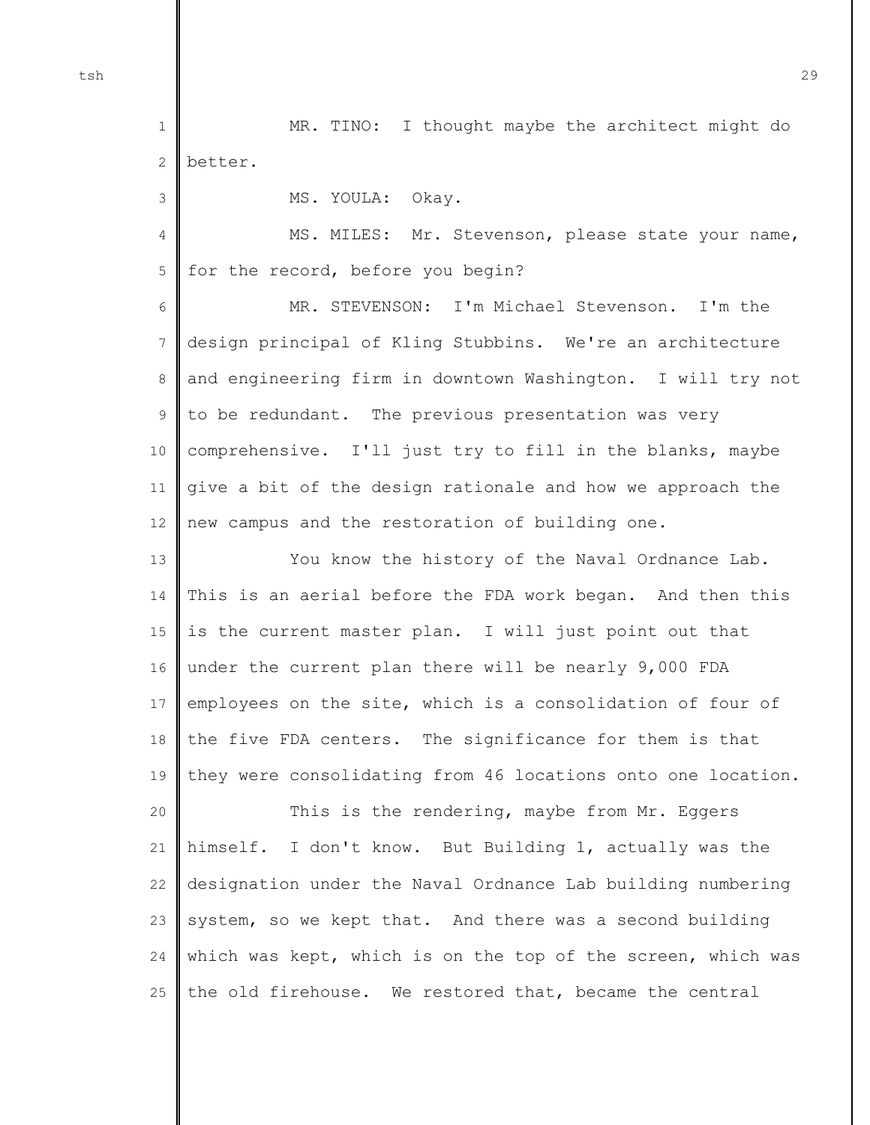1 2 MR. TINO: I thought maybe the architect might do better.

MS. YOULA: Okay.

4 5 MS. MILES: Mr. Stevenson, please state your name, for the record, before you begin?

6 7 8 9 10 11 12 MR. STEVENSON: I'm Michael Stevenson. I'm the design principal of Kling Stubbins. We're an architecture and engineering firm in downtown Washington. I will try not to be redundant. The previous presentation was very comprehensive. I'll just try to fill in the blanks, maybe give a bit of the design rationale and how we approach the new campus and the restoration of building one.

13 14 15 16 17 18 19 You know the history of the Naval Ordnance Lab. This is an aerial before the FDA work began. And then this is the current master plan. I will just point out that under the current plan there will be nearly 9,000 FDA employees on the site, which is a consolidation of four of the five FDA centers. The significance for them is that they were consolidating from 46 locations onto one location.

20 21 22 23 24 25 This is the rendering, maybe from Mr. Eggers himself. I don't know. But Building 1, actually was the designation under the Naval Ordnance Lab building numbering system, so we kept that. And there was a second building which was kept, which is on the top of the screen, which was the old firehouse. We restored that, became the central

tsh 29

3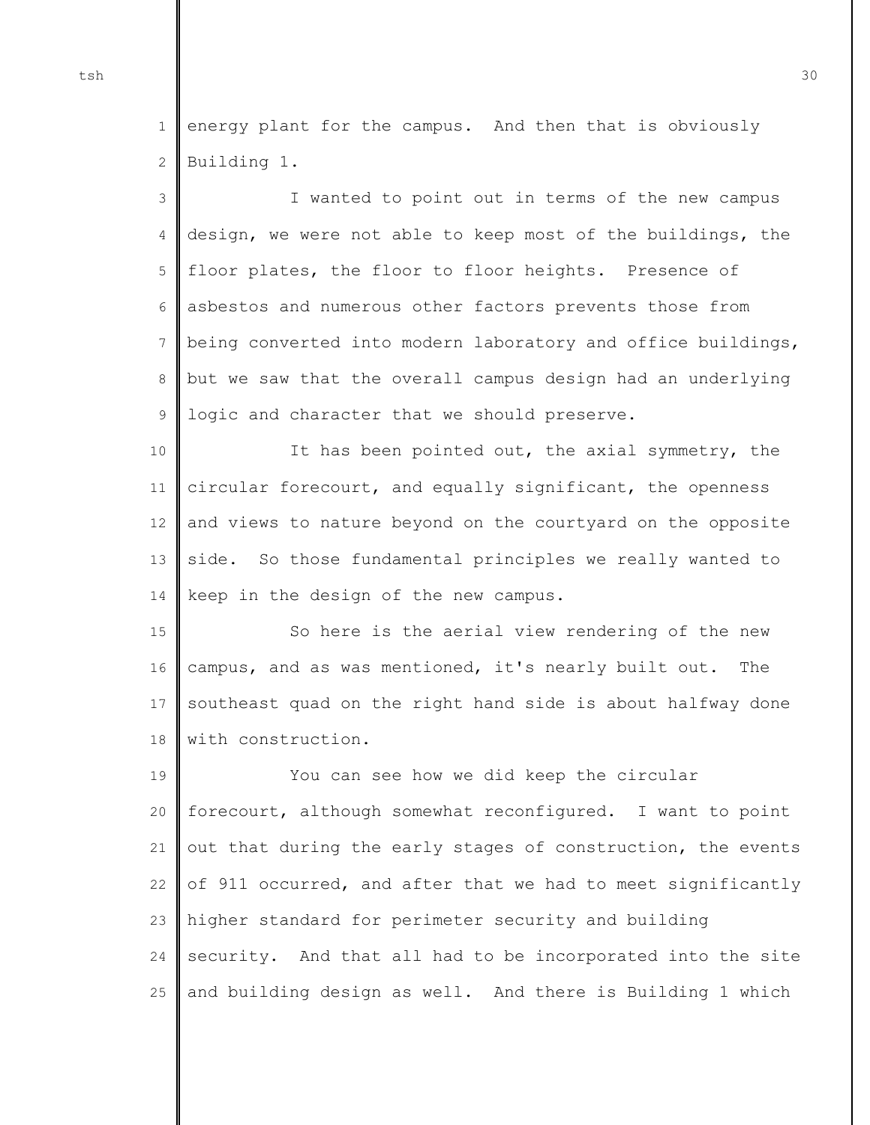1 2 energy plant for the campus. And then that is obviously Building 1.

3 4 5 6 7 8 9 I wanted to point out in terms of the new campus design, we were not able to keep most of the buildings, the floor plates, the floor to floor heights. Presence of asbestos and numerous other factors prevents those from being converted into modern laboratory and office buildings, but we saw that the overall campus design had an underlying logic and character that we should preserve.

10 11 12 13 14 It has been pointed out, the axial symmetry, the circular forecourt, and equally significant, the openness and views to nature beyond on the courtyard on the opposite side. So those fundamental principles we really wanted to keep in the design of the new campus.

15 16 17 18 So here is the aerial view rendering of the new campus, and as was mentioned, it's nearly built out. The southeast quad on the right hand side is about halfway done with construction.

19 20 21 22 23 24 25 You can see how we did keep the circular forecourt, although somewhat reconfigured. I want to point out that during the early stages of construction, the events of 911 occurred, and after that we had to meet significantly higher standard for perimeter security and building security. And that all had to be incorporated into the site and building design as well. And there is Building 1 which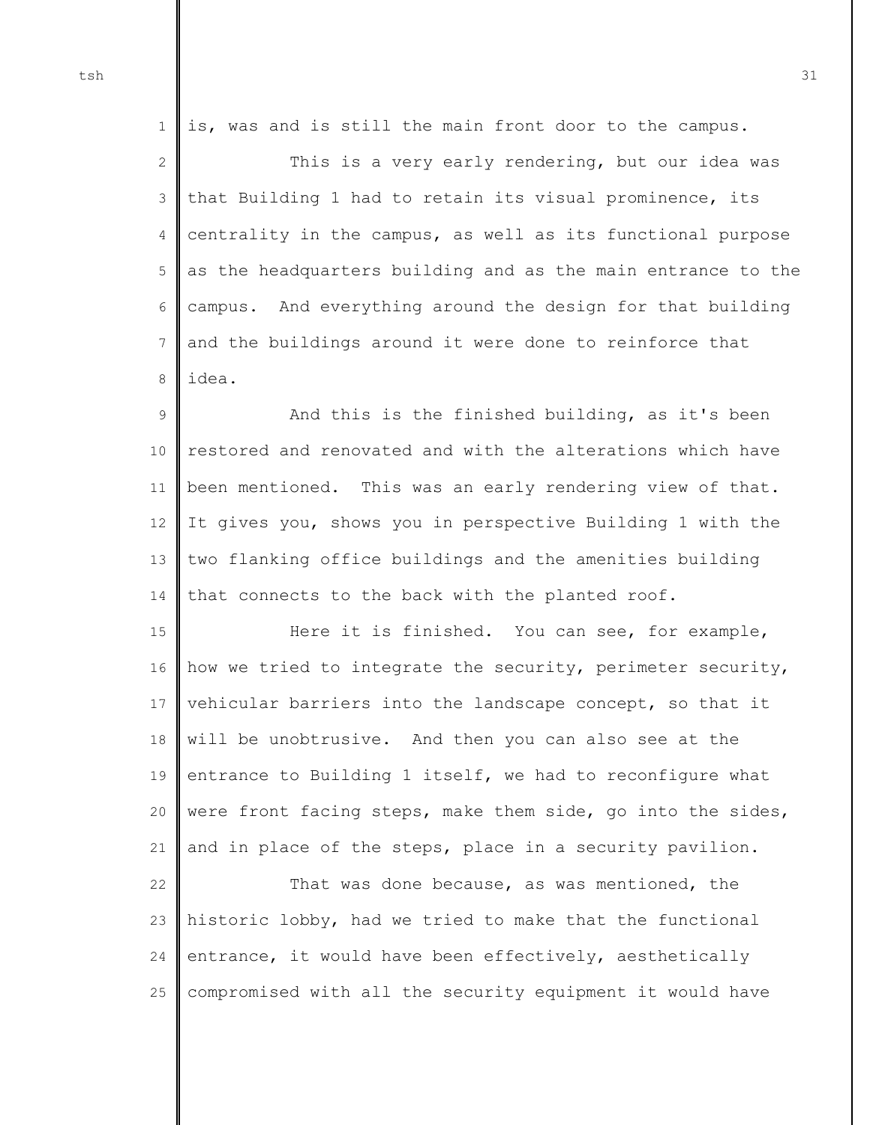1 2 3 4 5 6 7 8 is, was and is still the main front door to the campus. This is a very early rendering, but our idea was that Building 1 had to retain its visual prominence, its centrality in the campus, as well as its functional purpose as the headquarters building and as the main entrance to the campus. And everything around the design for that building and the buildings around it were done to reinforce that idea.

9 10 11 12 13 14 And this is the finished building, as it's been restored and renovated and with the alterations which have been mentioned. This was an early rendering view of that. It gives you, shows you in perspective Building 1 with the two flanking office buildings and the amenities building that connects to the back with the planted roof.

15 16 17 18 19 20 21 Here it is finished. You can see, for example, how we tried to integrate the security, perimeter security, vehicular barriers into the landscape concept, so that it will be unobtrusive. And then you can also see at the entrance to Building 1 itself, we had to reconfigure what were front facing steps, make them side, go into the sides, and in place of the steps, place in a security pavilion.

22 23 24 25 That was done because, as was mentioned, the historic lobby, had we tried to make that the functional entrance, it would have been effectively, aesthetically compromised with all the security equipment it would have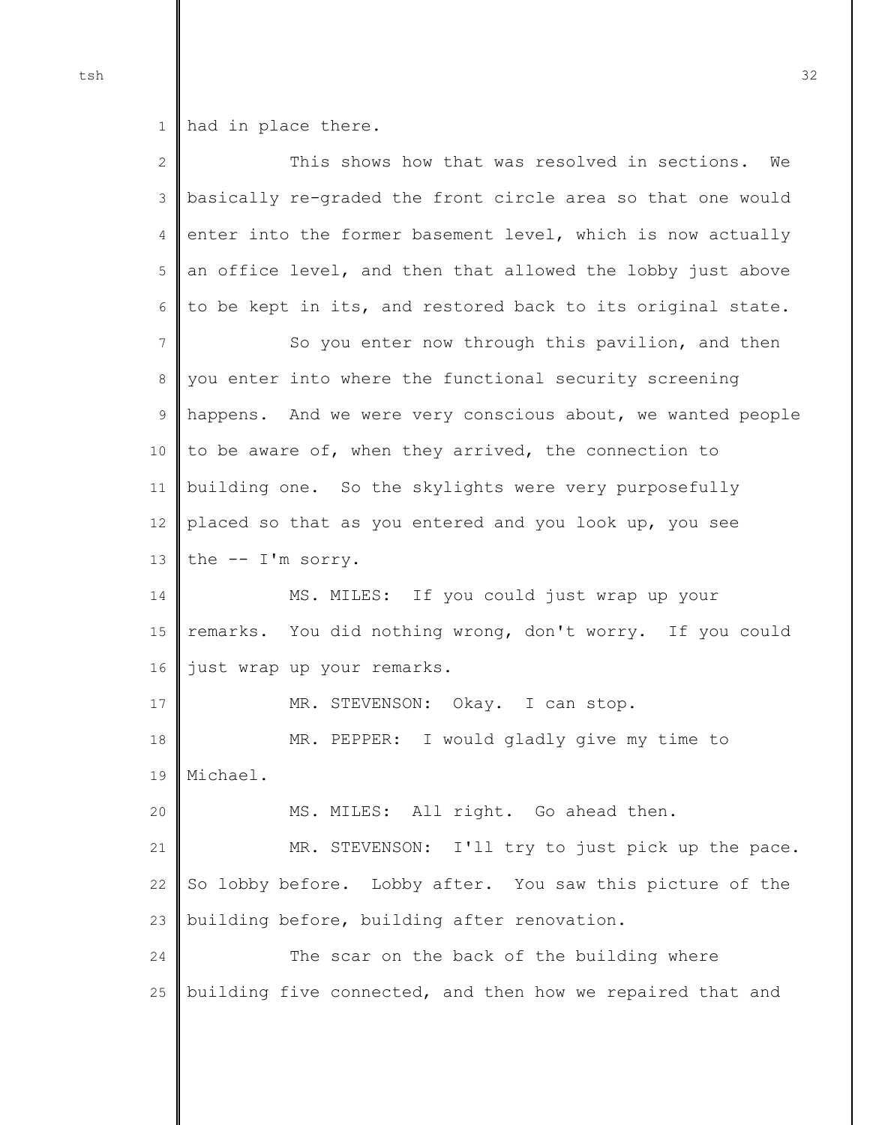1 had in place there.

| $\mathbf{2}$ | This shows how that was resolved in sections.<br>We         |
|--------------|-------------------------------------------------------------|
| 3            | basically re-graded the front circle area so that one would |
| 4            | enter into the former basement level, which is now actually |
| 5            | an office level, and then that allowed the lobby just above |
| 6            | to be kept in its, and restored back to its original state. |
| 7            | So you enter now through this pavilion, and then            |
| 8            | you enter into where the functional security screening      |
| 9            | happens. And we were very conscious about, we wanted people |
| 10           | to be aware of, when they arrived, the connection to        |
| 11           | building one. So the skylights were very purposefully       |
| 12           | placed so that as you entered and you look up, you see      |
| 13           | the $--$ I'm sorry.                                         |
| 14           | MS. MILES: If you could just wrap up your                   |
| 15           | remarks. You did nothing wrong, don't worry. If you could   |
| 16           | just wrap up your remarks.                                  |
| 17           | MR. STEVENSON: Okay. I can stop.                            |
| 18           | MR. PEPPER: I would gladly give my time to                  |
| 19           | Michael.                                                    |
| 20           | MS. MILES: All right. Go ahead then.                        |
| 21           | MR. STEVENSON: I'll try to just pick up the pace.           |
| 22           | So lobby before. Lobby after. You saw this picture of the   |
| 23           | building before, building after renovation.                 |
| 24           | The scar on the back of the building where                  |
| 25           | building five connected, and then how we repaired that and  |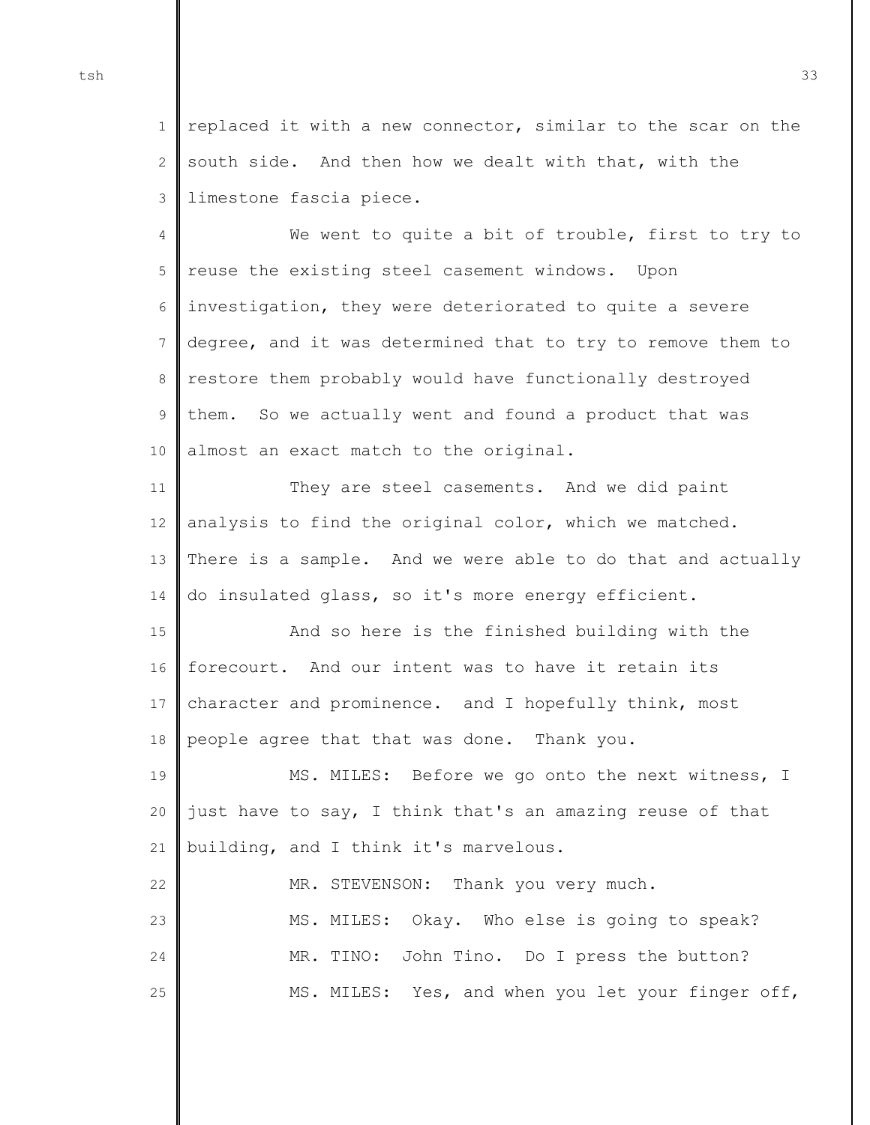1  $\mathcal{D}$ 3 replaced it with a new connector, similar to the scar on the south side. And then how we dealt with that, with the limestone fascia piece.

4 5 6 7 8 9 10 We went to quite a bit of trouble, first to try to reuse the existing steel casement windows. Upon investigation, they were deteriorated to quite a severe degree, and it was determined that to try to remove them to restore them probably would have functionally destroyed them. So we actually went and found a product that was almost an exact match to the original.

11 12 13 14 They are steel casements. And we did paint analysis to find the original color, which we matched. There is a sample. And we were able to do that and actually do insulated glass, so it's more energy efficient.

15 16 17 18 And so here is the finished building with the forecourt. And our intent was to have it retain its character and prominence. and I hopefully think, most people agree that that was done. Thank you.

19 20 21 MS. MILES: Before we go onto the next witness, I just have to say, I think that's an amazing reuse of that building, and I think it's marvelous.

22 23 24 25 MR. STEVENSON: Thank you very much. MS. MILES: Okay. Who else is going to speak? MR. TINO: John Tino. Do I press the button? MS. MILES: Yes, and when you let your finger off,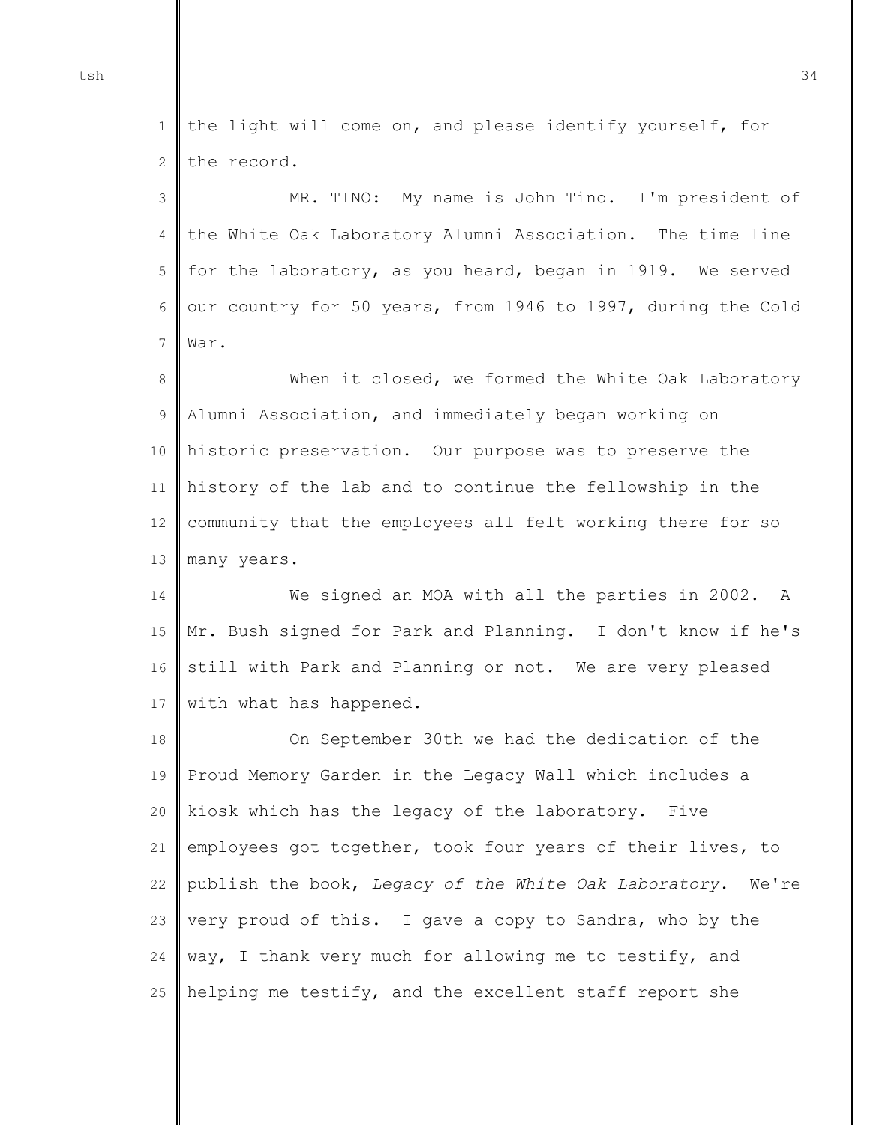1 2 the light will come on, and please identify yourself, for the record.

3 4 5 6 7 MR. TINO: My name is John Tino. I'm president of the White Oak Laboratory Alumni Association. The time line for the laboratory, as you heard, began in 1919. We served our country for 50 years, from 1946 to 1997, during the Cold War.

8 9 10 11 12 13 When it closed, we formed the White Oak Laboratory Alumni Association, and immediately began working on historic preservation. Our purpose was to preserve the history of the lab and to continue the fellowship in the community that the employees all felt working there for so many years.

14 15 16 17 We signed an MOA with all the parties in 2002. A Mr. Bush signed for Park and Planning. I don't know if he's still with Park and Planning or not. We are very pleased with what has happened.

18 19 20 21 22  $23$ 24 25 On September 30th we had the dedication of the Proud Memory Garden in the Legacy Wall which includes a kiosk which has the legacy of the laboratory. Five employees got together, took four years of their lives, to publish the book, *Legacy of the White Oak Laboratory*. We're very proud of this. I gave a copy to Sandra, who by the way, I thank very much for allowing me to testify, and helping me testify, and the excellent staff report she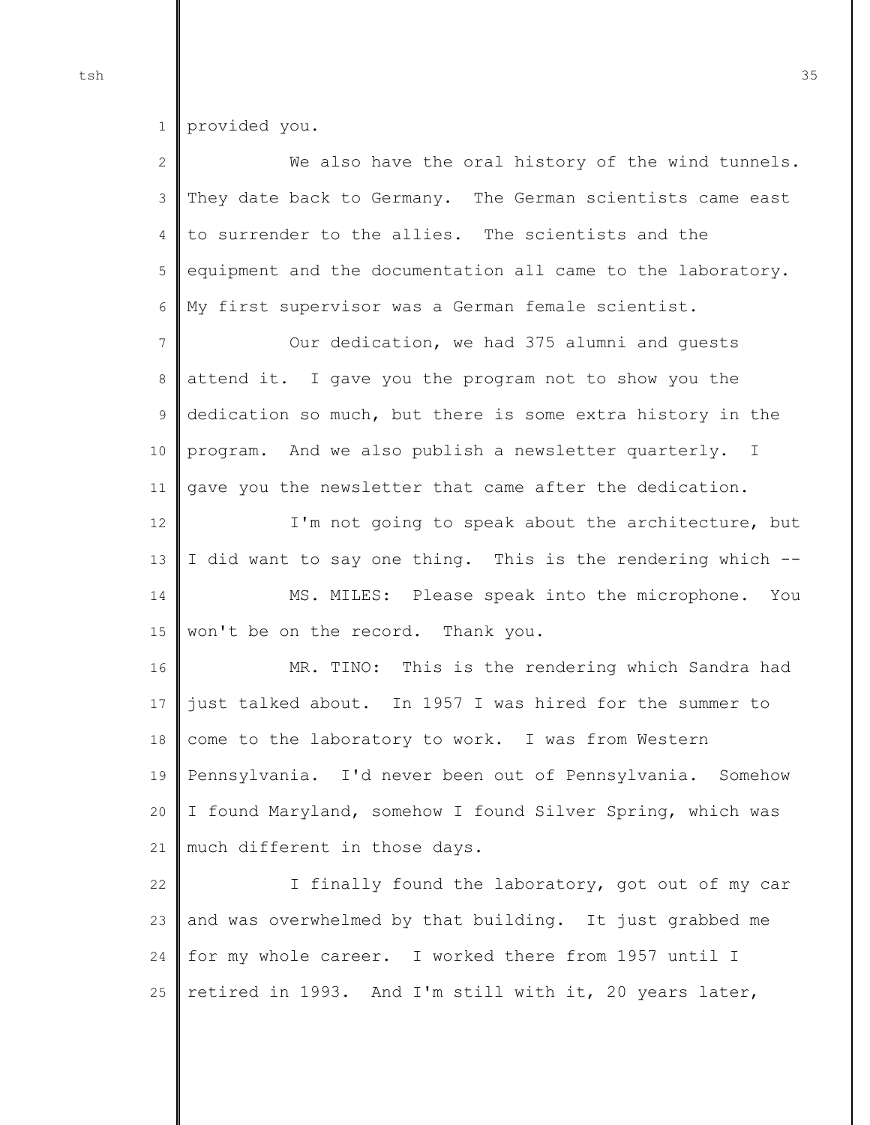1 provided you.

| $\overline{2}$ | We also have the oral history of the wind tunnels.          |
|----------------|-------------------------------------------------------------|
| $\mathfrak{Z}$ | They date back to Germany. The German scientists came east  |
| $\overline{4}$ | to surrender to the allies. The scientists and the          |
| 5              | equipment and the documentation all came to the laboratory. |
| 6              | My first supervisor was a German female scientist.          |
| $\overline{7}$ | Our dedication, we had 375 alumni and quests                |
| $\,8\,$        | attend it. I gave you the program not to show you the       |
| $\mathsf 9$    | dedication so much, but there is some extra history in the  |
| 10             | program. And we also publish a newsletter quarterly. I      |
| 11             | gave you the newsletter that came after the dedication.     |
| 12             | I'm not going to speak about the architecture, but          |
| 13             | I did want to say one thing. This is the rendering which -- |
| 14             | MS. MILES: Please speak into the microphone. You            |
| 15             | won't be on the record. Thank you.                          |
| 16             | MR. TINO: This is the rendering which Sandra had            |
| 17             | just talked about. In 1957 I was hired for the summer to    |
| $18\,$         | come to the laboratory to work. I was from Western          |
| 19             | Pennsylvania. I'd never been out of Pennsylvania. Somehow   |
| 20             | I found Maryland, somehow I found Silver Spring, which was  |
| 21             | much different in those days.                               |
| 22             | I finally found the laboratory, got out of my car           |
| 23             | and was overwhelmed by that building. It just grabbed me    |
|                |                                                             |
| 24             | for my whole career. I worked there from 1957 until I       |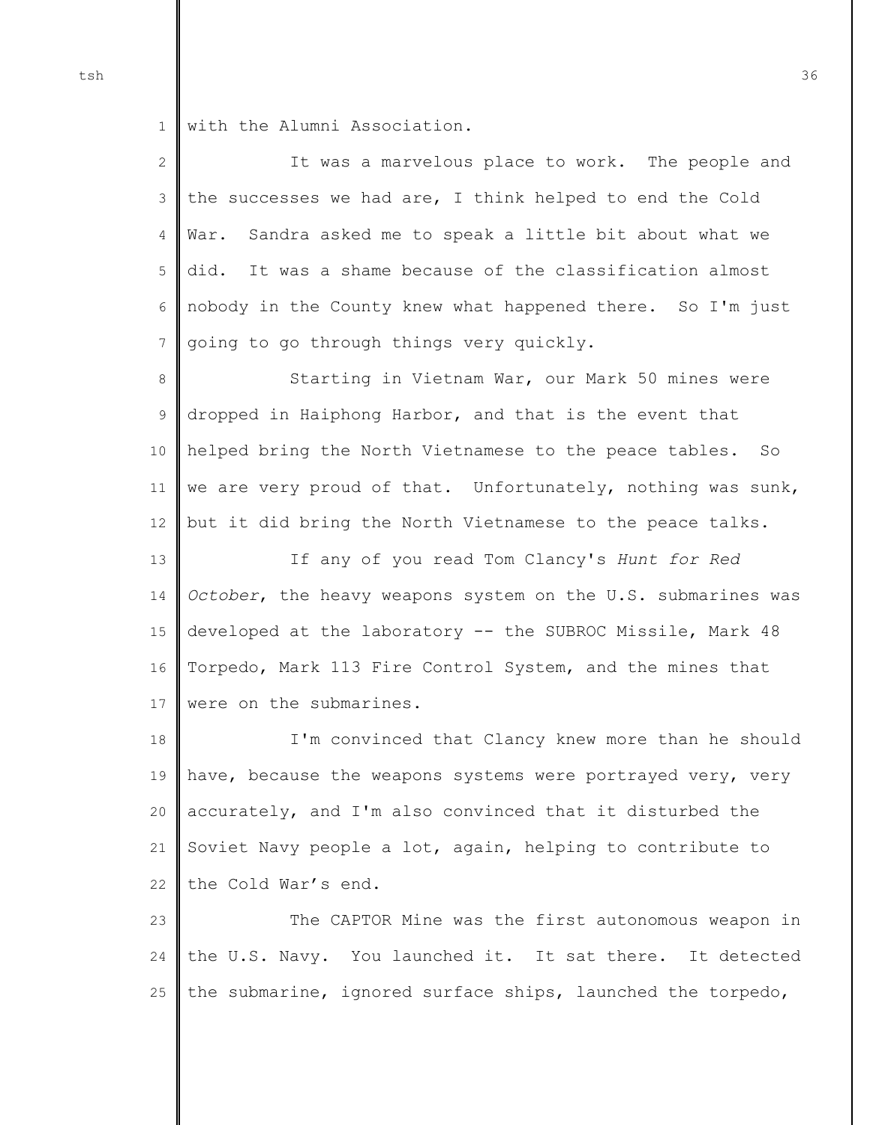1 with the Alumni Association.

2 3 4 5 6 7 It was a marvelous place to work. The people and the successes we had are, I think helped to end the Cold War. Sandra asked me to speak a little bit about what we did. It was a shame because of the classification almost nobody in the County knew what happened there. So I'm just going to go through things very quickly.

8 9 10 11 12 Starting in Vietnam War, our Mark 50 mines were dropped in Haiphong Harbor, and that is the event that helped bring the North Vietnamese to the peace tables. So we are very proud of that. Unfortunately, nothing was sunk, but it did bring the North Vietnamese to the peace talks.

13 14 15 16 17 If any of you read Tom Clancy's *Hunt for Red October*, the heavy weapons system on the U.S. submarines was developed at the laboratory -- the SUBROC Missile, Mark 48 Torpedo, Mark 113 Fire Control System, and the mines that were on the submarines.

18 19 20 21 22 I'm convinced that Clancy knew more than he should have, because the weapons systems were portrayed very, very accurately, and I'm also convinced that it disturbed the Soviet Navy people a lot, again, helping to contribute to the Cold War's end.

23 24 25 The CAPTOR Mine was the first autonomous weapon in the U.S. Navy. You launched it. It sat there. It detected the submarine, ignored surface ships, launched the torpedo,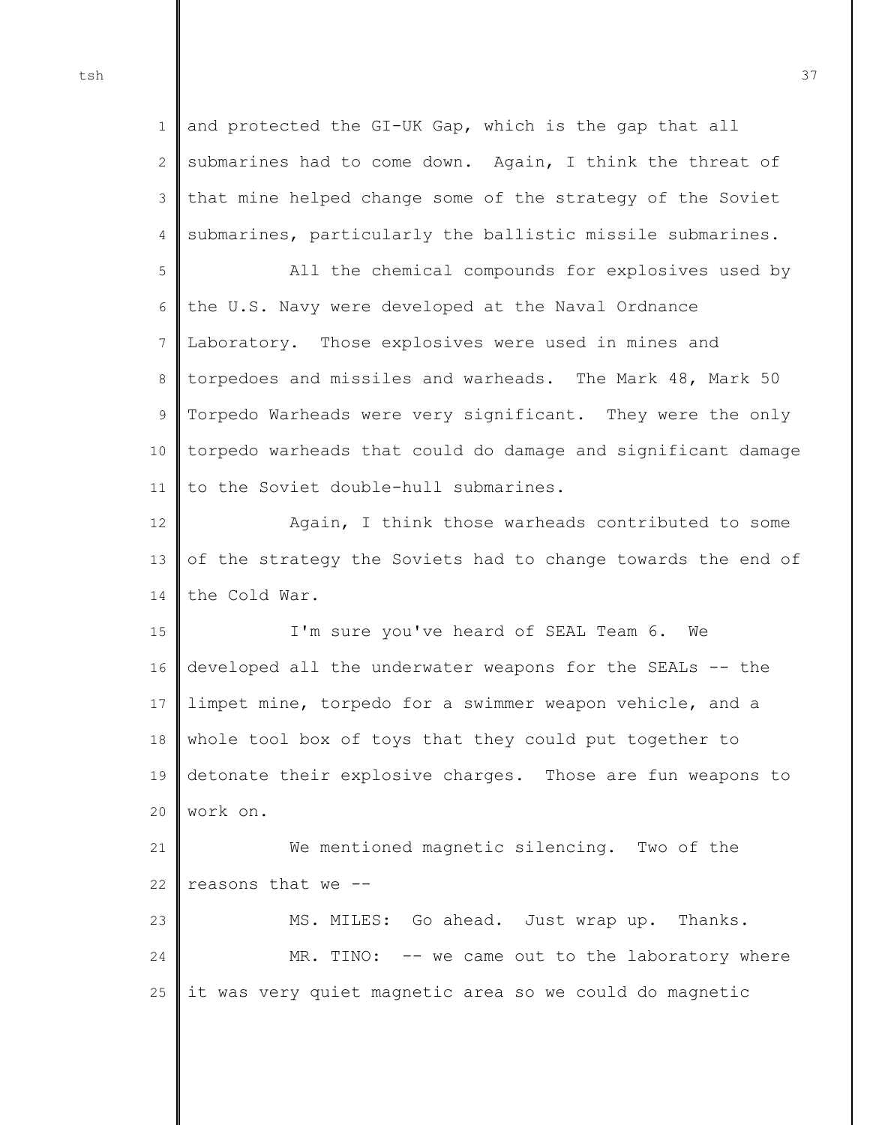1 2 3 4 and protected the GI-UK Gap, which is the gap that all submarines had to come down. Again, I think the threat of that mine helped change some of the strategy of the Soviet submarines, particularly the ballistic missile submarines.

5 6 7 8 9 10 11 All the chemical compounds for explosives used by the U.S. Navy were developed at the Naval Ordnance Laboratory. Those explosives were used in mines and torpedoes and missiles and warheads. The Mark 48, Mark 50 Torpedo Warheads were very significant. They were the only torpedo warheads that could do damage and significant damage to the Soviet double-hull submarines.

12 13 14 Again, I think those warheads contributed to some of the strategy the Soviets had to change towards the end of the Cold War.

15 16 17 18 19 20 I'm sure you've heard of SEAL Team 6. We developed all the underwater weapons for the SEALs -- the limpet mine, torpedo for a swimmer weapon vehicle, and a whole tool box of toys that they could put together to detonate their explosive charges. Those are fun weapons to work on.

21 22 We mentioned magnetic silencing. Two of the reasons that we --

23 24 25 MS. MILES: Go ahead. Just wrap up. Thanks. MR. TINO: -- we came out to the laboratory where it was very quiet magnetic area so we could do magnetic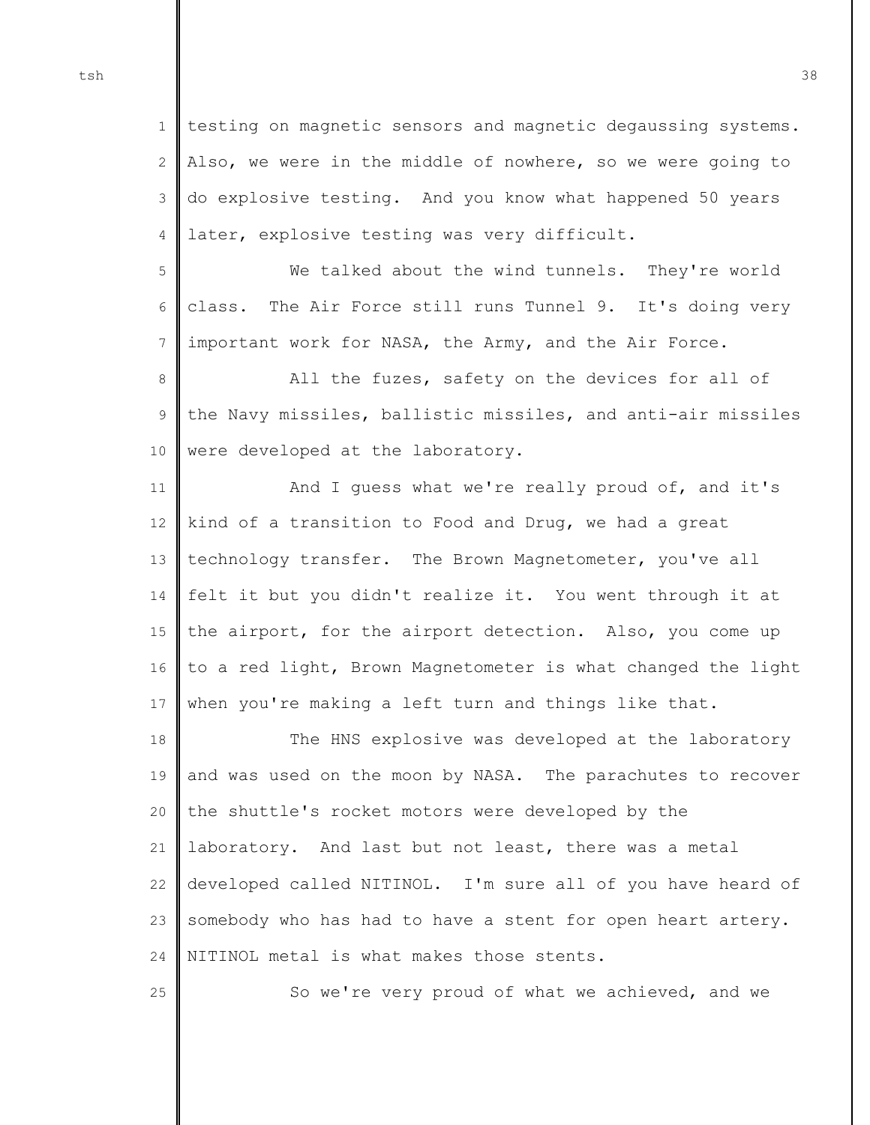1 2 3 4 testing on magnetic sensors and magnetic degaussing systems. Also, we were in the middle of nowhere, so we were going to do explosive testing. And you know what happened 50 years later, explosive testing was very difficult.

5 6 7 We talked about the wind tunnels. They're world class. The Air Force still runs Tunnel 9. It's doing very important work for NASA, the Army, and the Air Force.

8 9 10 All the fuzes, safety on the devices for all of the Navy missiles, ballistic missiles, and anti-air missiles were developed at the laboratory.

11 12 13 14 15 16 17 And I guess what we're really proud of, and it's kind of a transition to Food and Drug, we had a great technology transfer. The Brown Magnetometer, you've all felt it but you didn't realize it. You went through it at the airport, for the airport detection. Also, you come up to a red light, Brown Magnetometer is what changed the light when you're making a left turn and things like that.

18 19 20 21 22  $23$ 24 The HNS explosive was developed at the laboratory and was used on the moon by NASA. The parachutes to recover the shuttle's rocket motors were developed by the laboratory. And last but not least, there was a metal developed called NITINOL. I'm sure all of you have heard of somebody who has had to have a stent for open heart artery. NITINOL metal is what makes those stents.

25

So we're very proud of what we achieved, and we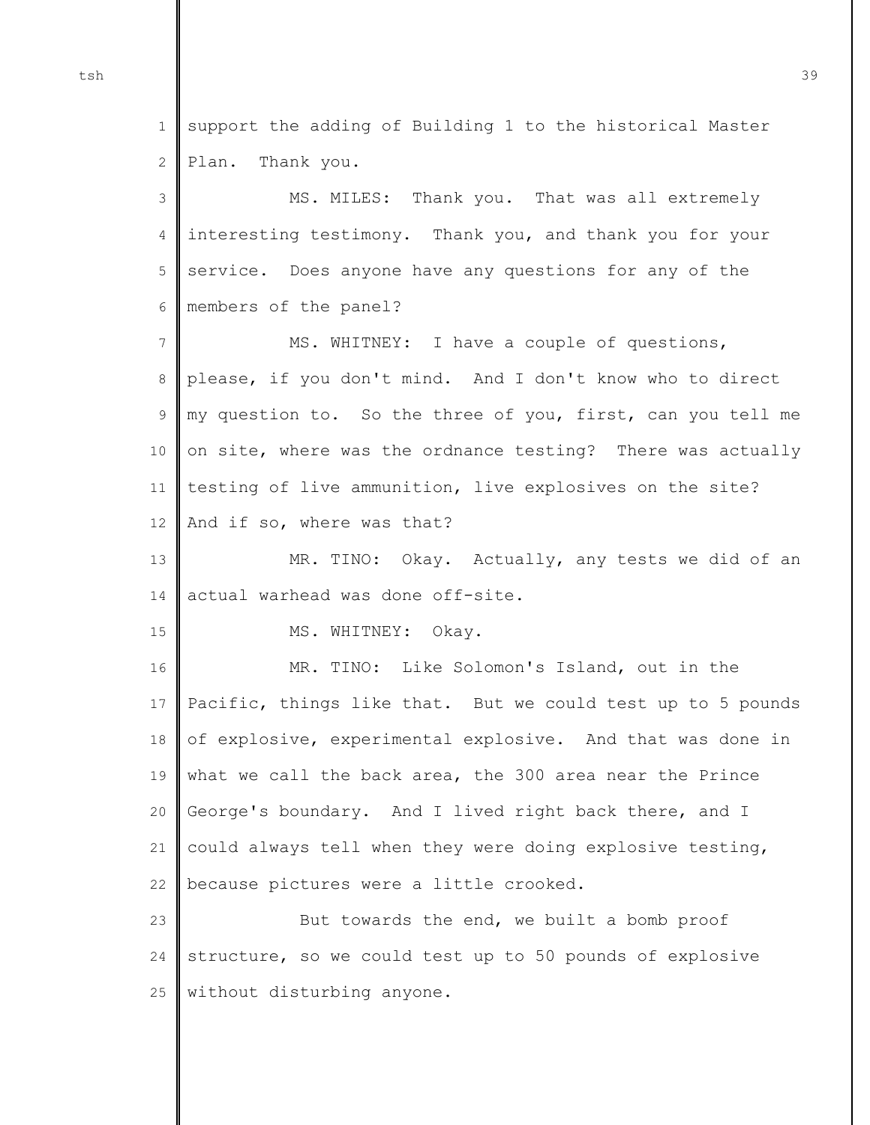1 2 support the adding of Building 1 to the historical Master Plan. Thank you.

3 4 5 6 MS. MILES: Thank you. That was all extremely interesting testimony. Thank you, and thank you for your service. Does anyone have any questions for any of the members of the panel?

7 8 9 10 11 12 MS. WHITNEY: I have a couple of questions, please, if you don't mind. And I don't know who to direct my question to. So the three of you, first, can you tell me on site, where was the ordnance testing? There was actually testing of live ammunition, live explosives on the site? And if so, where was that?

13 14 MR. TINO: Okay. Actually, any tests we did of an actual warhead was done off-site.

15 MS. WHITNEY: Okay.

16 17 18 19 20 21 22 MR. TINO: Like Solomon's Island, out in the Pacific, things like that. But we could test up to 5 pounds of explosive, experimental explosive. And that was done in what we call the back area, the 300 area near the Prince George's boundary. And I lived right back there, and I could always tell when they were doing explosive testing, because pictures were a little crooked.

23 24 25 But towards the end, we built a bomb proof structure, so we could test up to 50 pounds of explosive without disturbing anyone.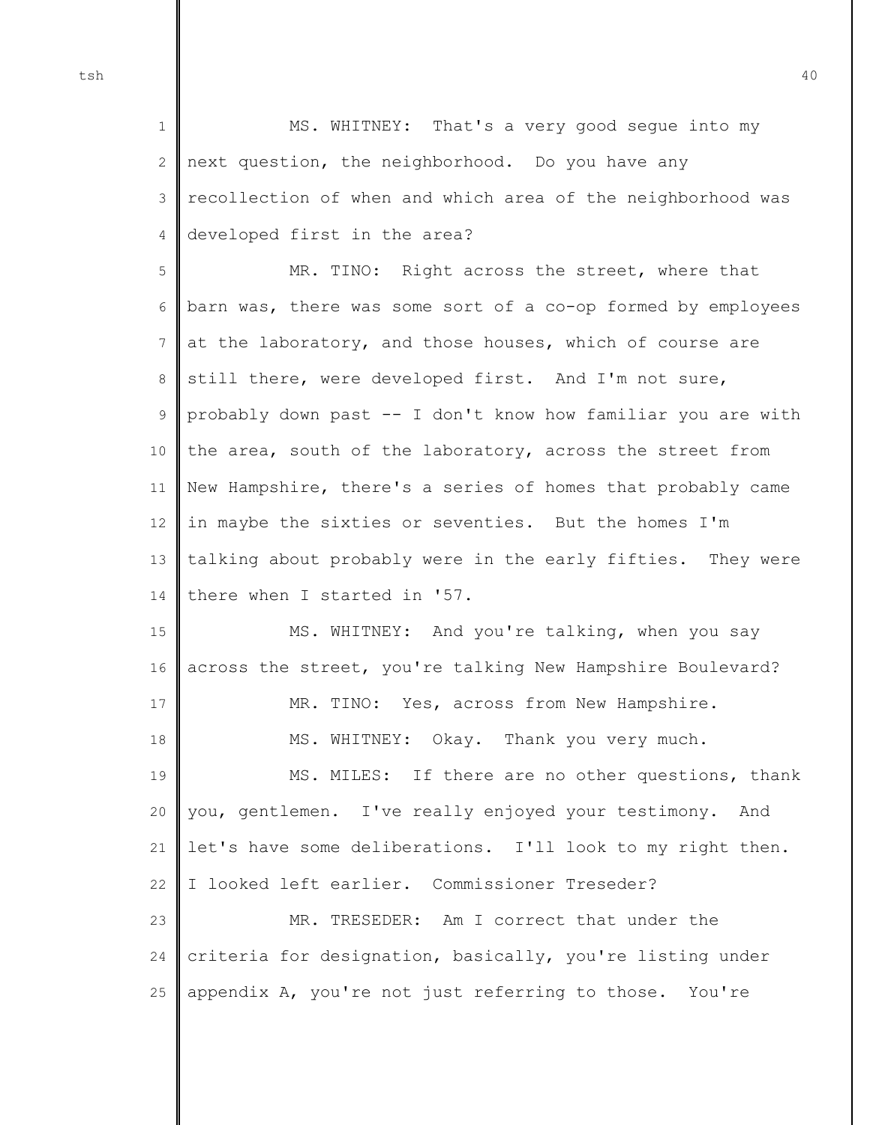1 2 3 4 MS. WHITNEY: That's a very good segue into my next question, the neighborhood. Do you have any recollection of when and which area of the neighborhood was developed first in the area?

5 6 7 8 9 10 11 12 13 14 MR. TINO: Right across the street, where that barn was, there was some sort of a co-op formed by employees at the laboratory, and those houses, which of course are still there, were developed first. And I'm not sure, probably down past -- I don't know how familiar you are with the area, south of the laboratory, across the street from New Hampshire, there's a series of homes that probably came in maybe the sixties or seventies. But the homes I'm talking about probably were in the early fifties. They were there when I started in '57.

15 16 17 18 19 20 21 22  $23$ MS. WHITNEY: And you're talking, when you say across the street, you're talking New Hampshire Boulevard? MR. TINO: Yes, across from New Hampshire. MS. WHITNEY: Okay. Thank you very much. MS. MILES: If there are no other questions, thank you, gentlemen. I've really enjoyed your testimony. And let's have some deliberations. I'll look to my right then. I looked left earlier. Commissioner Treseder? MR. TRESEDER: Am I correct that under the

24 25 criteria for designation, basically, you're listing under appendix A, you're not just referring to those. You're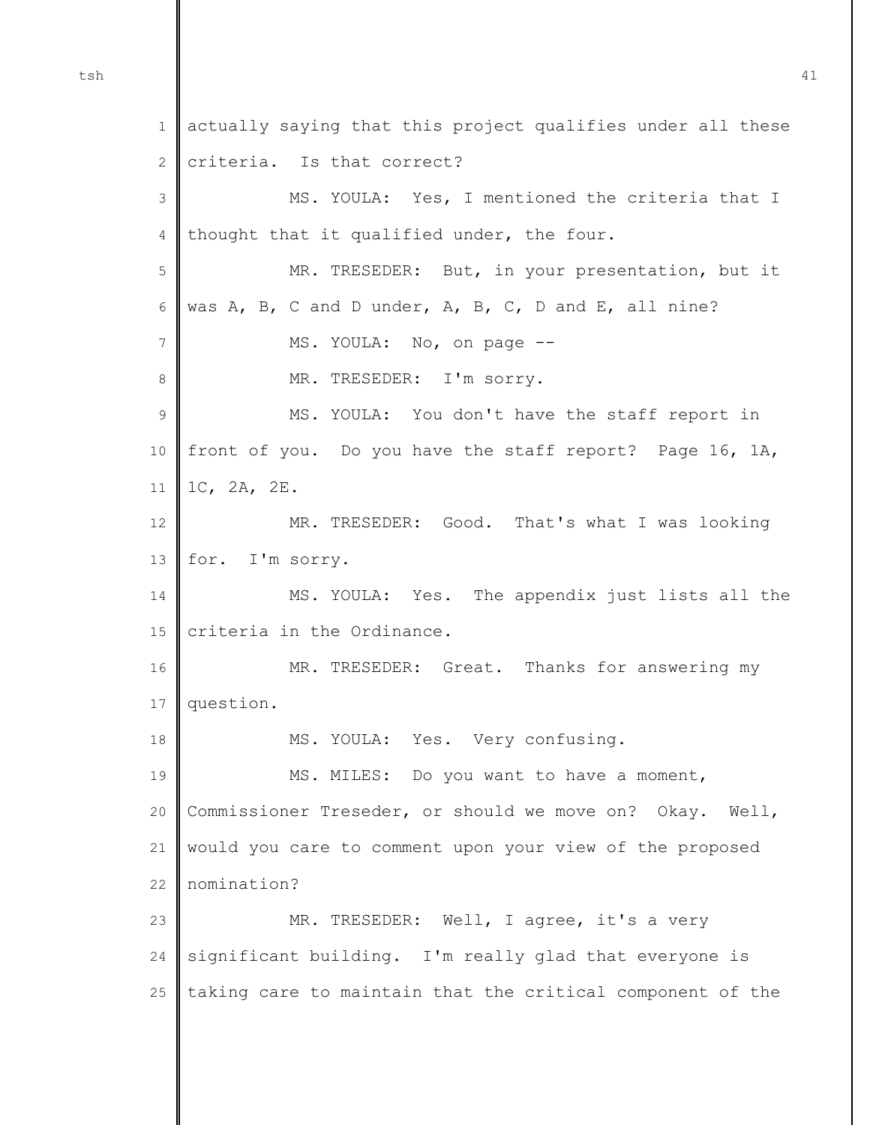1 2 3 4 5 6 7 8 9 10 11 12 13 14 15 16 17 18 19 20 21 22  $23$ 24 25 actually saying that this project qualifies under all these criteria. Is that correct? MS. YOULA: Yes, I mentioned the criteria that I thought that it qualified under, the four. MR. TRESEDER: But, in your presentation, but it was A, B, C and D under, A, B, C, D and E, all nine? MS. YOULA: No, on page -- MR. TRESEDER: I'm sorry. MS. YOULA: You don't have the staff report in front of you. Do you have the staff report? Page 16, 1A, 1C, 2A, 2E. MR. TRESEDER: Good. That's what I was looking for. I'm sorry. MS. YOULA: Yes. The appendix just lists all the criteria in the Ordinance. MR. TRESEDER: Great. Thanks for answering my question. MS. YOULA: Yes. Very confusing. MS. MILES: Do you want to have a moment, Commissioner Treseder, or should we move on? Okay. Well, would you care to comment upon your view of the proposed nomination? MR. TRESEDER: Well, I agree, it's a very significant building. I'm really glad that everyone is taking care to maintain that the critical component of the

tsh  $41$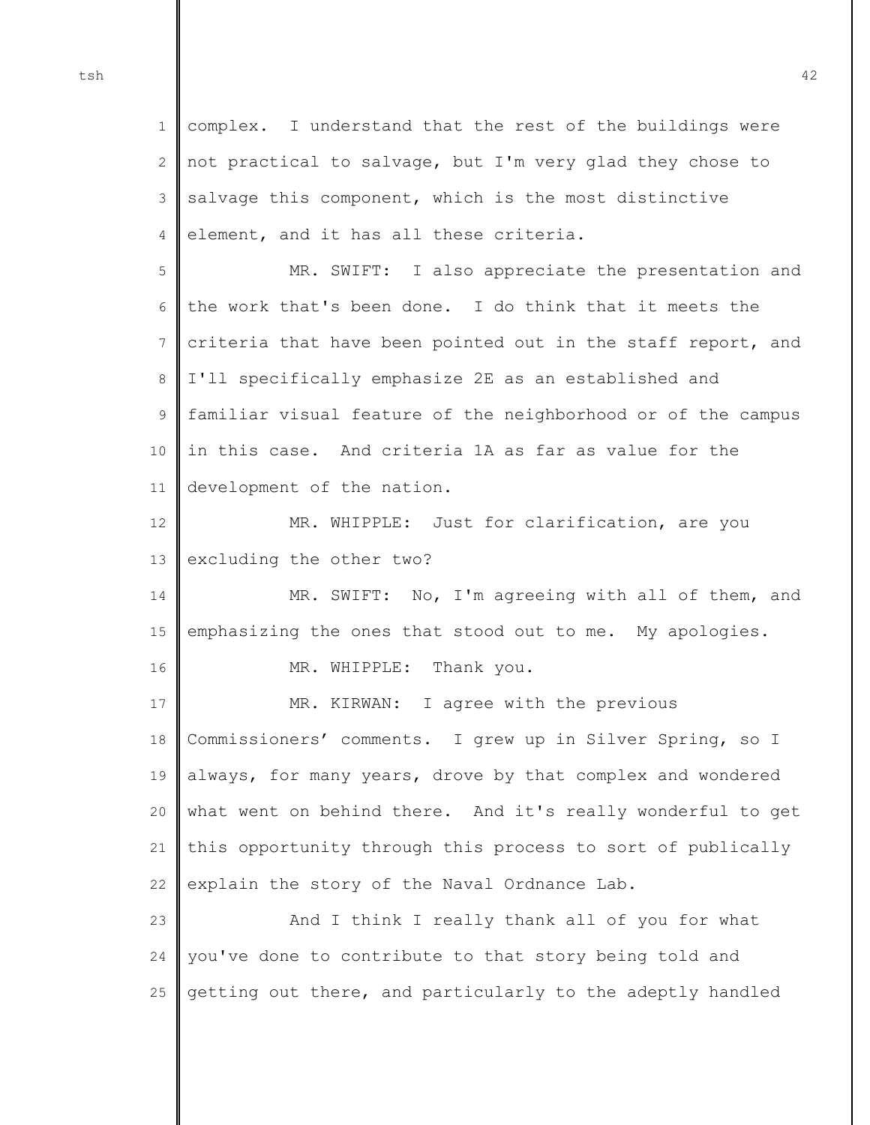1 2 3 4 complex. I understand that the rest of the buildings were not practical to salvage, but I'm very glad they chose to salvage this component, which is the most distinctive element, and it has all these criteria.

5 6 7 8 9 10 11 MR. SWIFT: I also appreciate the presentation and the work that's been done. I do think that it meets the criteria that have been pointed out in the staff report, and I'll specifically emphasize 2E as an established and familiar visual feature of the neighborhood or of the campus in this case. And criteria 1A as far as value for the development of the nation.

12 13 MR. WHIPPLE: Just for clarification, are you excluding the other two?

14 15 MR. SWIFT: No, I'm agreeing with all of them, and emphasizing the ones that stood out to me. My apologies.

MR. WHIPPLE: Thank you.

17 18 19 20 21 22 MR. KIRWAN: I agree with the previous Commissioners' comments. I grew up in Silver Spring, so I always, for many years, drove by that complex and wondered what went on behind there. And it's really wonderful to get this opportunity through this process to sort of publically explain the story of the Naval Ordnance Lab.

 $23$ 24 25 And I think I really thank all of you for what you've done to contribute to that story being told and getting out there, and particularly to the adeptly handled

16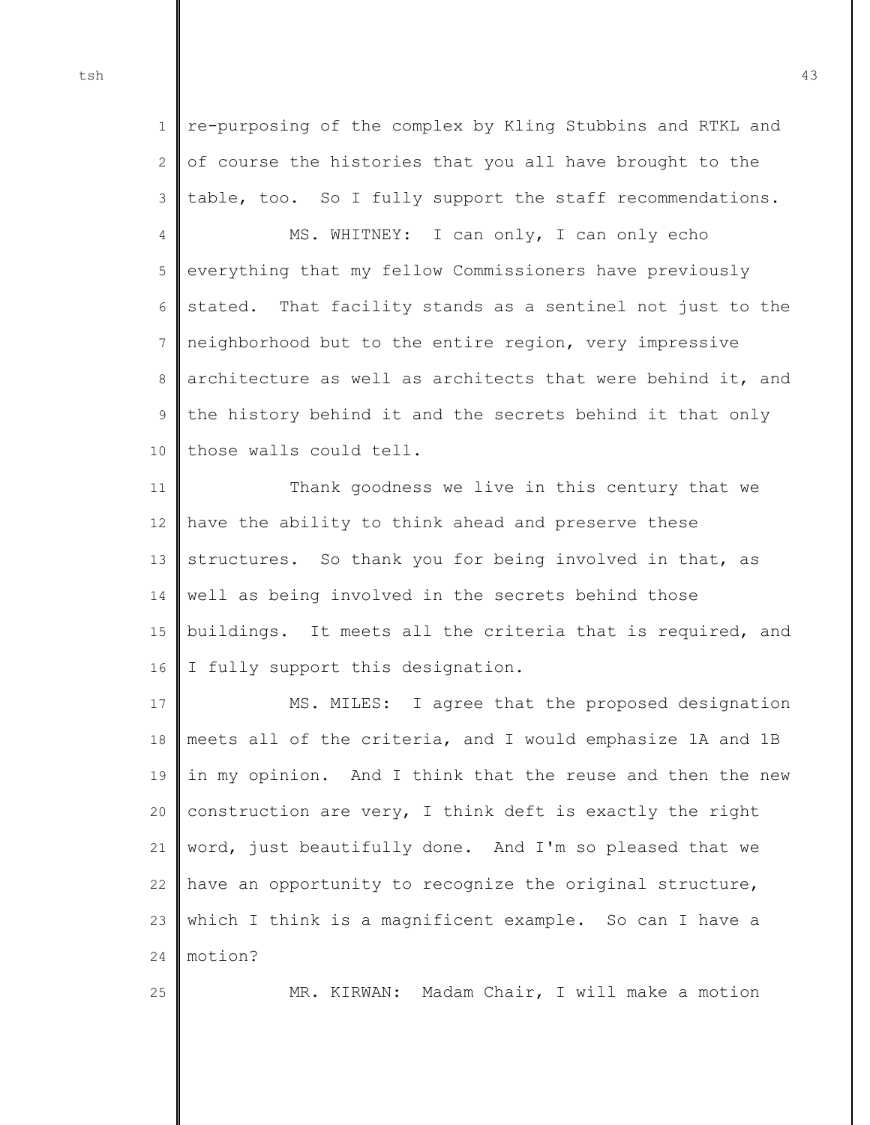1 2 3 re-purposing of the complex by Kling Stubbins and RTKL and of course the histories that you all have brought to the table, too. So I fully support the staff recommendations.

4 5 6 7 8 9 10 MS. WHITNEY: I can only, I can only echo everything that my fellow Commissioners have previously stated. That facility stands as a sentinel not just to the neighborhood but to the entire region, very impressive architecture as well as architects that were behind it, and the history behind it and the secrets behind it that only those walls could tell.

11 12 13 14 15 16 Thank goodness we live in this century that we have the ability to think ahead and preserve these structures. So thank you for being involved in that, as well as being involved in the secrets behind those buildings. It meets all the criteria that is required, and I fully support this designation.

17 18 19 20 21 22 23 24 MS. MILES: I agree that the proposed designation meets all of the criteria, and I would emphasize 1A and 1B in my opinion. And I think that the reuse and then the new construction are very, I think deft is exactly the right word, just beautifully done. And I'm so pleased that we have an opportunity to recognize the original structure, which I think is a magnificent example. So can I have a motion?

25

MR. KIRWAN: Madam Chair, I will make a motion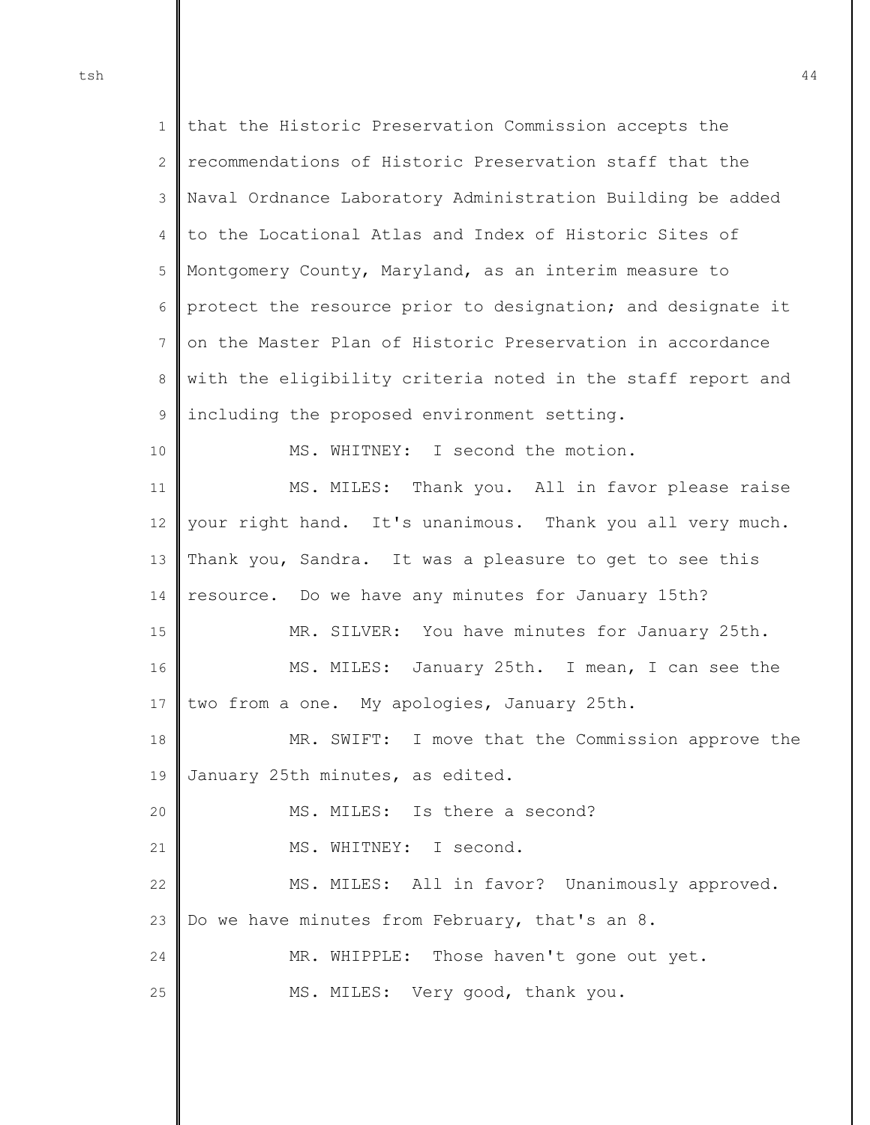1  $\mathcal{D}$ 3 4 5 6 7 8 9 10 11 12 13 14 15 16 17 18 19 20 21 22 23 24 25 that the Historic Preservation Commission accepts the recommendations of Historic Preservation staff that the Naval Ordnance Laboratory Administration Building be added to the Locational Atlas and Index of Historic Sites of Montgomery County, Maryland, as an interim measure to protect the resource prior to designation; and designate it on the Master Plan of Historic Preservation in accordance with the eligibility criteria noted in the staff report and including the proposed environment setting. MS. WHITNEY: I second the motion. MS. MILES: Thank you. All in favor please raise your right hand. It's unanimous. Thank you all very much. Thank you, Sandra. It was a pleasure to get to see this resource. Do we have any minutes for January 15th? MR. SILVER: You have minutes for January 25th. MS. MILES: January 25th. I mean, I can see the two from a one. My apologies, January 25th. MR. SWIFT: I move that the Commission approve the January 25th minutes, as edited. MS. MILES: Is there a second? MS. WHITNEY: I second. MS. MILES: All in favor? Unanimously approved. Do we have minutes from February, that's an 8. MR. WHIPPLE: Those haven't gone out yet. MS. MILES: Very good, thank you.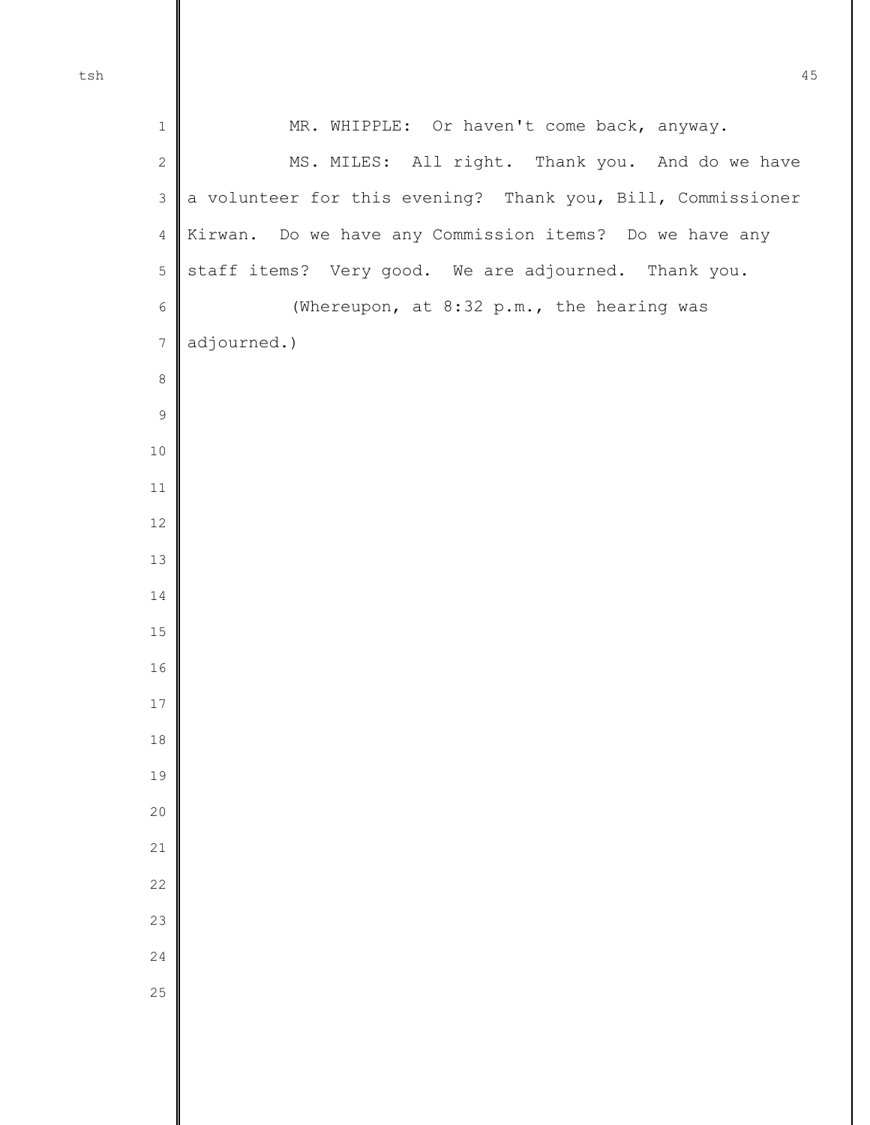| $\,1\,$          | MR. WHIPPLE: Or haven't come back, anyway.                  |
|------------------|-------------------------------------------------------------|
| $\mathbf{2}$     | MS. MILES: All right. Thank you. And do we have             |
| $\mathfrak{Z}$   | a volunteer for this evening? Thank you, Bill, Commissioner |
| $\sqrt{4}$       | Kirwan. Do we have any Commission items? Do we have any     |
| 5                | staff items? Very good. We are adjourned. Thank you.        |
| $\epsilon$       | (Whereupon, at 8:32 p.m., the hearing was                   |
| $\boldsymbol{7}$ | adjourned.)                                                 |
| $\,8\,$          |                                                             |
| $\mathfrak{S}$   |                                                             |
| 10               |                                                             |
| $11\,$           |                                                             |
| $12\,$           |                                                             |
| 13               |                                                             |
| 14               |                                                             |
| $15\,$           |                                                             |
| $16$             |                                                             |
| $17\,$           |                                                             |
| 18               |                                                             |
| 19               |                                                             |
| 20               |                                                             |
| 21               |                                                             |
| 22               |                                                             |
| 23               |                                                             |
| 24               |                                                             |
| 25               |                                                             |
|                  |                                                             |